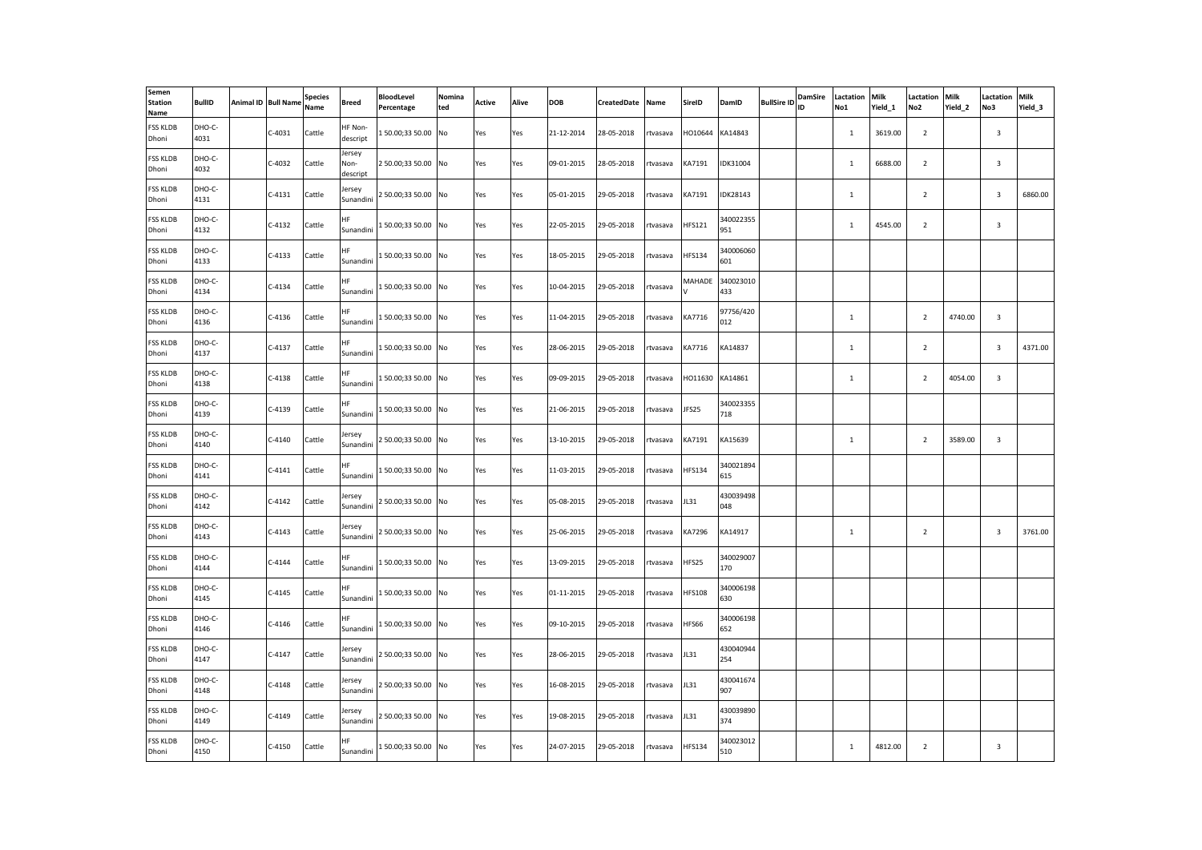| Semen<br><b>Station</b><br>Name | <b>BullID</b>  | Animal ID Bull Name | <b>Species</b><br>Name | Breed                      | <b>BloodLevel</b><br>Percentage | Nomina<br>ted | Active | Alive | <b>DOB</b> | CreatedDate | Name     | SireID        | DamID            | <b>BullSire ID</b> | <b>DamSire</b><br>ID | Lactation<br>No1 | Milk<br>Yield 1 | Lactation<br>No <sub>2</sub> | Milk<br>Yield 2 | Lactation<br>No3        | Milk<br>Yield_3 |
|---------------------------------|----------------|---------------------|------------------------|----------------------------|---------------------------------|---------------|--------|-------|------------|-------------|----------|---------------|------------------|--------------------|----------------------|------------------|-----------------|------------------------------|-----------------|-------------------------|-----------------|
| <b>FSS KLDB</b><br>Dhoni        | DHO-C-<br>4031 | $C-4031$            | Cattle                 | HF Non-<br>descript        | 150.00;3350.00 No               |               | Yes    | Yes   | 21-12-2014 | 28-05-2018  | rtvasava | HO10644       | KA14843          |                    |                      | $\mathbf{1}$     | 3619.00         | $\overline{2}$               |                 | $\overline{\mathbf{3}}$ |                 |
| <b>FSS KLDB</b><br>Dhoni        | DHO-C-<br>4032 | C-4032              | Cattle                 | Jersey<br>Non-<br>descript | 2 50.00;33 50.00 No             |               | Yes    | Yes   | 09-01-2015 | 28-05-2018  | rtvasava | KA7191        | IDK31004         |                    |                      | $\mathbf{1}$     | 6688.00         | $\overline{2}$               |                 | $\mathbf{3}$            |                 |
| <b>FSS KLDB</b><br>Dhoni        | DHO-C-<br>4131 | $C-4131$            | Cattle                 | lersey<br>Sunandini        | 2 50.00;33 50.00 No             |               | Yes    | Yes   | 05-01-2015 | 29-05-2018  | rtvasava | KA7191        | <b>IDK28143</b>  |                    |                      | $\mathbf{1}$     |                 | $\overline{2}$               |                 | $\overline{\mathbf{3}}$ | 6860.00         |
| <b>FSS KLDB</b><br>Dhoni        | DHO-C-<br>4132 | $C-4132$            | Cattle                 | ΗF<br>Sunandini            | 150.00;3350.00                  | No            | Yes    | Yes   | 22-05-2015 | 29-05-2018  | tvasava  | <b>HFS121</b> | 340022355<br>951 |                    |                      | $\mathbf{1}$     | 4545.00         | 2                            |                 | $\overline{\mathbf{3}}$ |                 |
| <b>FSS KLDB</b><br>Dhoni        | DHO-C-<br>4133 | $C-4133$            | Cattle                 | HF<br>Sunandini            | 150.00;3350.00 No               |               | Yes    | Yes   | 18-05-2015 | 29-05-2018  | rtvasava | <b>HFS134</b> | 340006060<br>601 |                    |                      |                  |                 |                              |                 |                         |                 |
| <b>FSS KLDB</b><br>Dhoni        | DHO-C-<br>4134 | $C-4134$            | Cattle                 | ΗF<br>Sunandini            | 150.00;3350.00 No               |               | Yes    | Yes   | 10-04-2015 | 29-05-2018  | rtvasava | MAHADE        | 340023010<br>433 |                    |                      |                  |                 |                              |                 |                         |                 |
| <b>FSS KLDB</b><br>Dhoni        | DHO-C-<br>4136 | $C-4136$            | Cattle                 | ΗF<br>Sunandini            | 150.00;3350.00 No               |               | Yes    | Yes   | 11-04-2015 | 29-05-2018  | rtvasava | KA7716        | 97756/420<br>012 |                    |                      | $\mathbf{1}$     |                 | $\overline{2}$               | 4740.00         | $\overline{3}$          |                 |
| <b>FSS KLDB</b><br>Dhoni        | DHO-C-<br>4137 | $C-4137$            | Cattle                 | HF<br>Sunandini            | 150.00;3350.00 No               |               | Yes    | Yes   | 28-06-2015 | 29-05-2018  | rtvasava | KA7716        | KA14837          |                    |                      | $\mathbf{1}$     |                 | $\overline{2}$               |                 | $\overline{\mathbf{3}}$ | 4371.00         |
| <b>FSS KLDB</b><br>Dhoni        | DHO-C-<br>4138 | $C-4138$            | Cattle                 | ΗF<br>Sunandini            | 150.00;3350.00                  | No            | Yes    | Yes   | 09-09-2015 | 29-05-2018  | rtvasava | HO11630       | KA14861          |                    |                      | $\mathbf{1}$     |                 | $\overline{2}$               | 4054.00         | $\overline{3}$          |                 |
| <b>FSS KLDB</b><br>Dhoni        | DHO-C-<br>4139 | $C-4139$            | Cattle                 | ΗF<br>Sunandini            | 150.00;3350.00 No               |               | Yes    | Yes   | 21-06-2015 | 29-05-2018  | rtvasava | JFS25         | 340023355<br>718 |                    |                      |                  |                 |                              |                 |                         |                 |
| <b>FSS KLDB</b><br>Dhoni        | DHO-C-<br>4140 | $C-4140$            | Cattle                 | lersey<br>Sunandini        | 250.00;3350.00 No               |               | Yes    | Yes   | 13-10-2015 | 29-05-2018  | tvasava  | KA7191        | KA15639          |                    |                      | $\mathbf{1}$     |                 | $\overline{2}$               | 3589.00         | $\overline{3}$          |                 |
| <b>FSS KLDB</b><br>Dhoni        | DHO-C-<br>4141 | $C-4141$            | Cattle                 | HF.<br>Sunandini           | 150.00;3350.00                  | No            | Yes    | Yes   | 11-03-2015 | 29-05-2018  | rtvasava | <b>HFS134</b> | 340021894<br>615 |                    |                      |                  |                 |                              |                 |                         |                 |
| <b>FSS KLDB</b><br>Dhoni        | DHO-C-<br>4142 | $C-4142$            | Cattle                 | lersey<br>Sunandini        | 250.00;3350.00 No               |               | Yes    | Yes   | 05-08-2015 | 29-05-2018  | rtvasava | JL31          | 430039498<br>048 |                    |                      |                  |                 |                              |                 |                         |                 |
| <b>FSS KLDB</b><br>Dhoni        | DHO-C-<br>4143 | $C-4143$            | Cattle                 | lersey<br>Sunandini        | 2 50.00;33 50.00                | No            | Yes    | Yes   | 25-06-2015 | 29-05-2018  | rtvasava | KA7296        | KA14917          |                    |                      | $\mathbf{1}$     |                 | $\overline{2}$               |                 | $\overline{3}$          | 3761.00         |
| <b>FSS KLDB</b><br>Dhoni        | DHO-C-<br>4144 | $C-4144$            | Cattle                 | HF<br>Sunandini            | 150.00;3350.00 No               |               | Yes    | Yes   | 13-09-2015 | 29-05-2018  | rtvasava | HFS25         | 340029007<br>170 |                    |                      |                  |                 |                              |                 |                         |                 |
| <b>FSS KLDB</b><br>Dhoni        | DHO-C-<br>4145 | $C-4145$            | Cattle                 | HF.<br>Sunandini           | 150.00;3350.00 No               |               | Yes    | Yes   | 01-11-2015 | 29-05-2018  | rtvasava | <b>HFS108</b> | 340006198<br>630 |                    |                      |                  |                 |                              |                 |                         |                 |
| <b>FSS KLDB</b><br>Dhoni        | DHO-C-<br>4146 | $C-4146$            | Cattle                 | HF<br>Sunandini            | 150.00;3350.00                  | No            | Yes    | Yes   | 09-10-2015 | 29-05-2018  | rtvasava | <b>HFS66</b>  | 340006198<br>652 |                    |                      |                  |                 |                              |                 |                         |                 |
| <b>FSS KLDB</b><br>Dhoni        | DHO-C-<br>4147 | $C-4147$            | Cattle                 | lersey<br>Sunandini        | 2 50.00;33 50.00 No             |               | Yes    | Yes   | 28-06-2015 | 29-05-2018  | rtvasava | JL31          | 430040944<br>254 |                    |                      |                  |                 |                              |                 |                         |                 |
| <b>FSS KLDB</b><br>Dhoni        | DHO-C-<br>4148 | $C-4148$            | Cattle                 | lersey<br>Sunandini        | 2 50.00;33 50.00                | No            | Yes    | Yes   | 16-08-2015 | 29-05-2018  | rtvasava | JL31          | 430041674<br>907 |                    |                      |                  |                 |                              |                 |                         |                 |
| <b>FSS KLDB</b><br>Dhoni        | DHO-C-<br>4149 | $C-4149$            | Cattle                 | lersey<br>Sunandini        | 2 50.00;33 50.00 No             |               | Yes    | Yes   | 19-08-2015 | 29-05-2018  | rtvasava | JL31          | 430039890<br>374 |                    |                      |                  |                 |                              |                 |                         |                 |
| <b>FSS KLDB</b><br>Dhoni        | DHO-C-<br>4150 | $C-4150$            | Cattle                 | HF.<br>Sunandini           | 150.00;3350.00 No               |               | Yes    | Yes   | 24-07-2015 | 29-05-2018  | rtvasava | <b>HFS134</b> | 340023012<br>510 |                    |                      | $\mathbf{1}$     | 4812.00         | $\overline{2}$               |                 | $\overline{\mathbf{3}}$ |                 |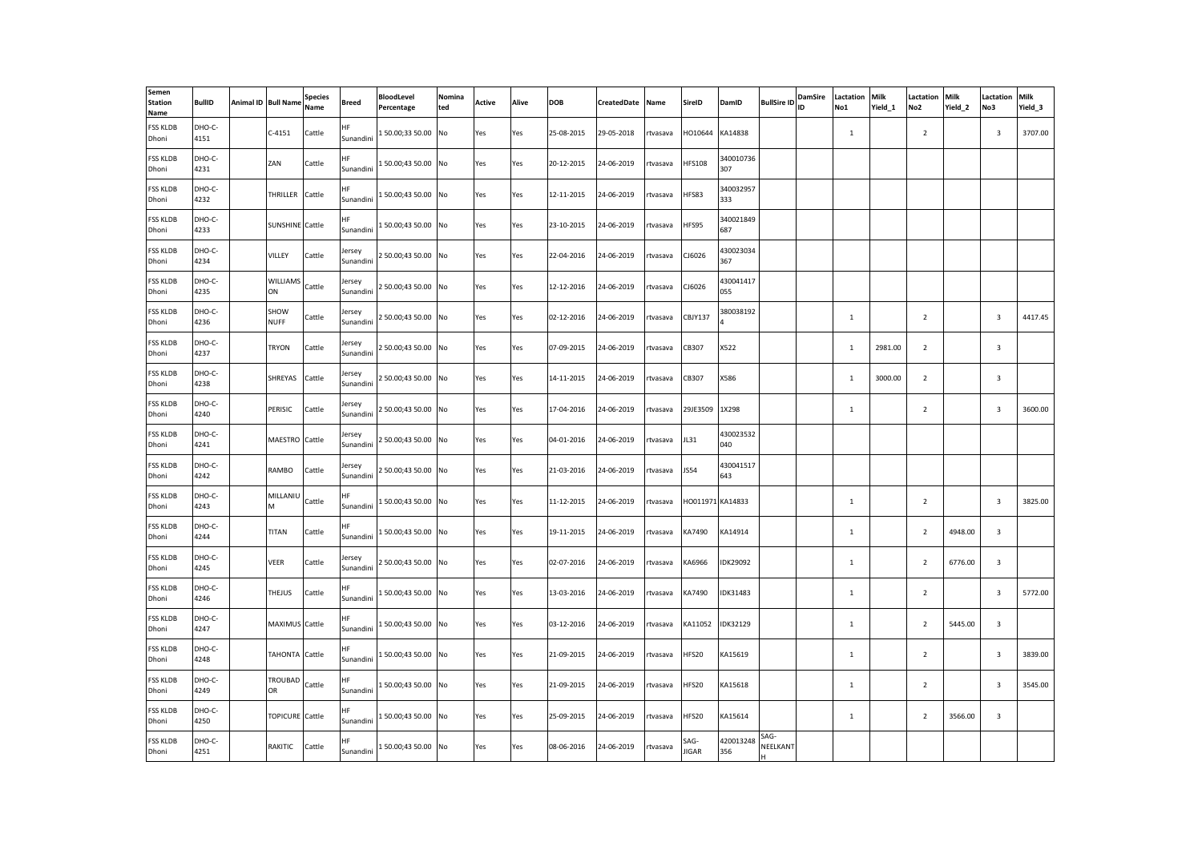| Semen<br><b>Station</b><br>Name | <b>BullID</b>  | Animal ID Bull Name   | <b>Species</b><br>Name | Breed               | <b>BloodLevel</b><br>Percentage | Nomina<br>ted | <b>Active</b> | Alive | DOB        | CreatedDate | Name     | SireID               | DamID            | <b>BullSire ID</b> | DamSire<br>ID | Lactation<br>No1 | Milk<br>Yield_1 | Lactation<br>No <sub>2</sub> | Milk<br>Yield 2 | Lactation<br>No3        | Milk<br>Yield_3 |
|---------------------------------|----------------|-----------------------|------------------------|---------------------|---------------------------------|---------------|---------------|-------|------------|-------------|----------|----------------------|------------------|--------------------|---------------|------------------|-----------------|------------------------------|-----------------|-------------------------|-----------------|
| <b>FSS KLDB</b><br>Dhoni        | DHO-C-<br>4151 | $C-4151$              | Cattle                 | HF<br>Sunandini     | 150.00;33 50.00 No              |               | Yes           | Yes   | 25-08-2015 | 29-05-2018  | rtvasava | HO10644              | KA14838          |                    |               | $\mathbf{1}$     |                 | $\overline{2}$               |                 | $\overline{\mathbf{3}}$ | 3707.00         |
| <b>FSS KLDB</b><br>Dhoni        | DHO-C-<br>4231 | ZAN                   | Cattle                 | ΗF<br>Sunandini     | 150.00;43 50.00 No              |               | Yes           | Yes   | 20-12-2015 | 24-06-2019  | rtvasava | <b>HFS108</b>        | 340010736<br>307 |                    |               |                  |                 |                              |                 |                         |                 |
| <b>FSS KLDB</b><br>Dhoni        | DHO-C-<br>4232 | THRILLER Cattle       |                        | HF<br>Sunandini     | 150.00;4350.00 No               |               | Yes           | Yes   | 12-11-2015 | 24-06-2019  | rtvasava | HFS83                | 340032957<br>333 |                    |               |                  |                 |                              |                 |                         |                 |
| <b>FSS KLDB</b><br>Dhoni        | DHO-C-<br>4233 | SUNSHINE Cattle       |                        | HF<br>Sunandini     | 150.00;43 50.00 No              |               | Yes           | Yes   | 23-10-2015 | 24-06-2019  | rtvasava | HFS95                | 340021849<br>687 |                    |               |                  |                 |                              |                 |                         |                 |
| <b>FSS KLDB</b><br>Dhoni        | DHO-C-<br>4234 | VILLEY                | Cattle                 | Jersey<br>Sunandini | 250.00;4350.00 No               |               | Yes           | Yes   | 22-04-2016 | 24-06-2019  | rtvasava | CJ6026               | 430023034<br>367 |                    |               |                  |                 |                              |                 |                         |                 |
| <b>FSS KLDB</b><br>Dhoni        | DHO-C-<br>4235 | WILLIAMS Cattle<br>ON |                        | Jersey<br>Sunandini | 2 50.00;43 50.00 No             |               | Yes           | Yes   | 12-12-2016 | 24-06-2019  | rtvasava | CJ6026               | 430041417<br>055 |                    |               |                  |                 |                              |                 |                         |                 |
| <b>FSS KLDB</b><br>Dhoni        | DHO-C-<br>4236 | SHOW<br><b>NUFF</b>   | Cattle                 | lersey<br>Sunandini | 2 50.00;43 50.00 No             |               | Yes           | Yes   | 02-12-2016 | 24-06-2019  | rtvasava | CBJY137              | 380038192        |                    |               | $\mathbf{1}$     |                 | $\overline{2}$               |                 | $\overline{3}$          | 4417.45         |
| <b>FSS KLDB</b><br>Dhoni        | DHO-C-<br>4237 | TRYON                 | Cattle                 | Jersey<br>Sunandini | 250.00;4350.00 No               |               | Yes           | Yes   | 07-09-2015 | 24-06-2019  | rtvasava | CB307                | X522             |                    |               | $\mathbf{1}$     | 2981.00         | $\overline{2}$               |                 | $\overline{3}$          |                 |
| <b>FSS KLDB</b><br>Dhoni        | DHO-C-<br>4238 | SHREYAS Cattle        |                        | lersey<br>Sunandini | 2 50.00;43 50.00 No             |               | Yes           | Yes   | 14-11-2015 | 24-06-2019  | rtvasava | CB307                | X586             |                    |               | $\mathbf{1}$     | 3000.00         | $\overline{2}$               |                 | $\overline{3}$          |                 |
| <b>FSS KLDB</b><br>Dhoni        | DHO-C-<br>4240 | PERISIC               | Cattle                 | Jersey<br>Sunandini | 2 50.00;43 50.00 No             |               | Yes           | Yes   | 17-04-2016 | 24-06-2019  | rtvasava | 29JE3509             | 1X298            |                    |               | $\mathbf{1}$     |                 | $\overline{2}$               |                 | $\overline{\mathbf{3}}$ | 3600.00         |
| <b>FSS KLDB</b><br>Dhoni        | DHO-C-<br>4241 | MAESTRO Cattle        |                        | Jersey<br>Sunandini | 250.00;4350.00 No               |               | Yes           | Yes   | 04-01-2016 | 24-06-2019  | rtvasava | JL31                 | 430023532<br>040 |                    |               |                  |                 |                              |                 |                         |                 |
| <b>FSS KLDB</b><br>Dhoni        | DHO-C-<br>4242 | RAMBO                 | Cattle                 | lersey<br>Sunandini | 250.00;4350.00 No               |               | Yes           | Yes   | 21-03-2016 | 24-06-2019  | rtvasava | <b>JS54</b>          | 430041517<br>643 |                    |               |                  |                 |                              |                 |                         |                 |
| <b>FSS KLDB</b><br>Dhoni        | DHO-C-<br>4243 | MILLANIU<br>м         | Cattle                 | ΗF<br>Sunandini     | 150.00;4350.00 No               |               | Yes           | Yes   | 11-12-2015 | 24-06-2019  | rtvasava | HO011971 KA14833     |                  |                    |               | $\mathbf{1}$     |                 | $\overline{2}$               |                 | $\overline{\mathbf{3}}$ | 3825.00         |
| <b>FSS KLDB</b><br>Dhoni        | DHO-C-<br>4244 | TITAN                 | Cattle                 | HF<br>Sunandini     | 150.00;43 50.00 No              |               | Yes           | Yes   | 19-11-2015 | 24-06-2019  | rtvasava | KA7490               | KA14914          |                    |               | $\mathbf{1}$     |                 | $\overline{2}$               | 4948.00         | $\overline{3}$          |                 |
| <b>FSS KLDB</b><br>Dhoni        | DHO-C-<br>4245 | VEER                  | Cattle                 | Jersey<br>Sunandini | 2 50.00;43 50.00 No             |               | Yes           | Yes   | 02-07-2016 | 24-06-2019  | rtvasava | KA6966               | IDK29092         |                    |               | $\mathbf{1}$     |                 | $\overline{2}$               | 6776.00         | $\overline{3}$          |                 |
| <b>FSS KLDB</b><br>Dhoni        | DHO-C-<br>4246 | THEJUS                | Cattle                 | ΗF<br>Sunandini     | 150.00;4350.00 No               |               | Yes           | Yes   | 13-03-2016 | 24-06-2019  | rtvasava | KA7490               | IDK31483         |                    |               | $\mathbf{1}$     |                 | $\overline{2}$               |                 | $\overline{3}$          | 5772.00         |
| <b>FSS KLDB</b><br>Dhoni        | DHO-C-<br>4247 | MAXIMUS Cattle        |                        | HF<br>Sunandini     | 150.00;4350.00 No               |               | Yes           | Yes   | 03-12-2016 | 24-06-2019  | rtvasava | KA11052              | IDK32129         |                    |               | $\mathbf{1}$     |                 | $\overline{2}$               | 5445.00         | $\overline{3}$          |                 |
| <b>FSS KLDB</b><br>Dhoni        | DHO-C-<br>4248 | TAHONTA Cattle        |                        | HF<br>Sunandini     | 150.00;43 50.00 No              |               | Yes           | Yes   | 21-09-2015 | 24-06-2019  | rtvasava | HFS20                | KA15619          |                    |               | $\mathbf{1}$     |                 | $\overline{2}$               |                 | $\overline{3}$          | 3839.00         |
| <b>FSS KLDB</b><br>Dhoni        | DHO-C-<br>4249 | TROUBAD<br><b>OR</b>  | Cattle                 | HF<br>Sunandini     | 150.00;43 50.00 No              |               | Yes           | Yes   | 21-09-2015 | 24-06-2019  | rtvasava | <b>HFS20</b>         | KA15618          |                    |               | $\mathbf{1}$     |                 | $\overline{2}$               |                 | $\overline{\mathbf{3}}$ | 3545.00         |
| <b>FSS KLDB</b><br>Dhoni        | DHO-C-<br>4250 | TOPICURE Cattle       |                        | ΗF<br>Sunandini     | 150.00;4350.00 No               |               | Yes           | Yes   | 25-09-2015 | 24-06-2019  | rtvasava | <b>HFS20</b>         | KA15614          |                    |               | $1\,$            |                 | $\overline{2}$               | 3566.00         | $\overline{\mathbf{3}}$ |                 |
| <b>FSS KLDB</b><br>Dhoni        | DHO-C-<br>4251 | RAKITIC               | Cattle                 | HF.<br>Sunandini    | 150.00;4350.00 No               |               | Yes           | Yes   | 08-06-2016 | 24-06-2019  | rtvasava | SAG-<br><b>JIGAR</b> | 420013248<br>356 | SAG-<br>NEELKANT   |               |                  |                 |                              |                 |                         |                 |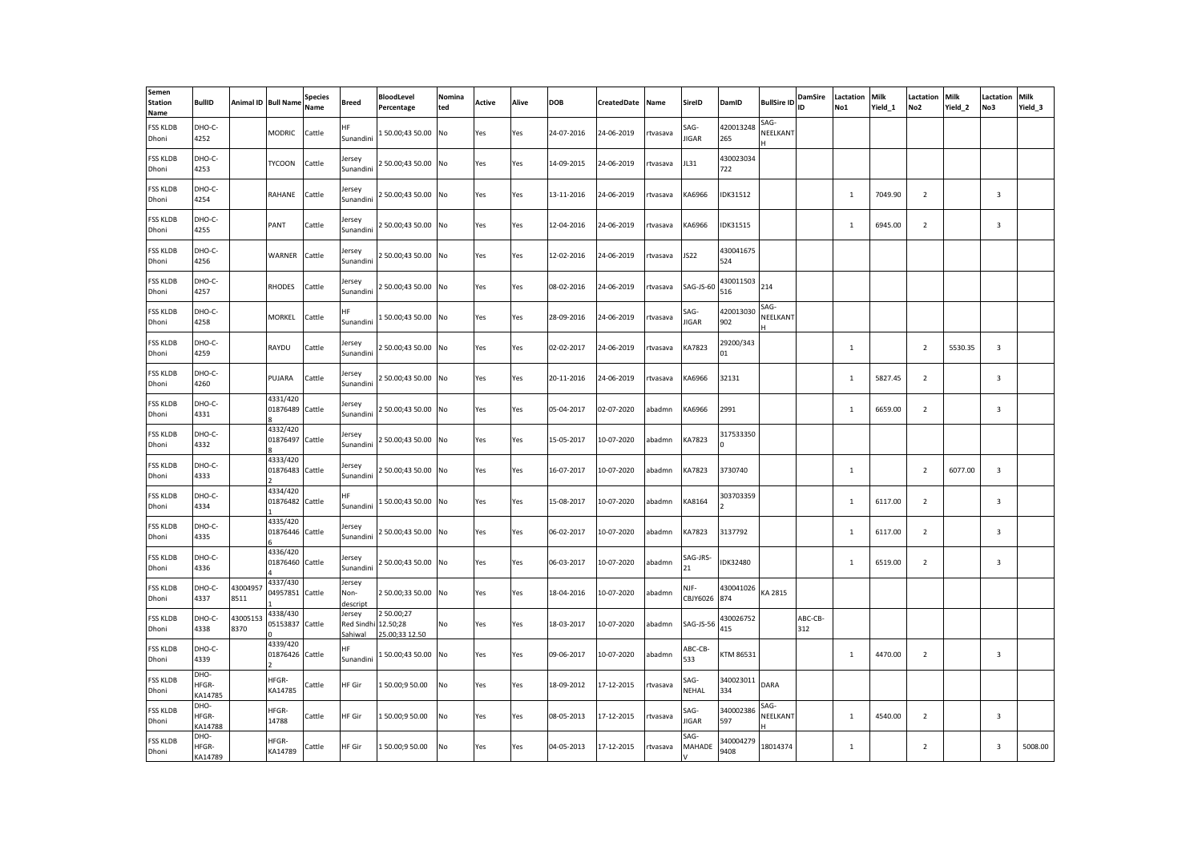| Semen<br><b>Station</b><br>Name | <b>BullID</b>            |                 | Animal ID Bull Name         | <b>Species</b><br>Name | Breed                                  | <b>BloodLevel</b><br>Percentage         | Nomina<br>ted | Active | Alive | <b>DOB</b> | CreatedDate | Name     | SireID           | DamID             | <b>BullSire ID</b> | <b>DamSire</b><br>ID | Lactation<br>No1 | <b>Milk</b><br>Yield 1 | Lactation<br>No <sub>2</sub> | Milk<br>Yield 2 | Lactation<br>No3 | Milk<br>Yield 3 |
|---------------------------------|--------------------------|-----------------|-----------------------------|------------------------|----------------------------------------|-----------------------------------------|---------------|--------|-------|------------|-------------|----------|------------------|-------------------|--------------------|----------------------|------------------|------------------------|------------------------------|-----------------|------------------|-----------------|
| <b>FSS KLDB</b><br>Dhoni        | DHO-C-<br>4252           |                 | <b>MODRIC</b>               | Cattle                 | HF<br>Sunandini                        | 150.00;43 50.00 No                      |               | Yes    | Yes   | 24-07-2016 | 24-06-2019  | rtvasava | SAG-<br>JIGAR    | 420013248<br>265  | SAG-<br>NEELKANT   |                      |                  |                        |                              |                 |                  |                 |
| <b>FSS KLDB</b><br>Dhoni        | DHO-C-<br>4253           |                 | <b>TYCOON</b>               | Cattle                 | lersey<br>Sunandini                    | 2 50.00;43 50.00 No                     |               | Yes    | Yes   | 14-09-2015 | 24-06-2019  | tvasava  | <b>JL31</b>      | 430023034<br>722  |                    |                      |                  |                        |                              |                 |                  |                 |
| <b>FSS KLDB</b><br>Dhoni        | DHO-C-<br>4254           |                 | RAHANE                      | Cattle                 | lersev<br>Sunandini                    | 2 50.00;43 50.00 No                     |               | Yes    | Yes   | 13-11-2016 | 24-06-2019  | rtvasava | KA6966           | IDK31512          |                    |                      | $\mathbf{1}$     | 7049.90                | $\overline{2}$               |                 | 3                |                 |
| <b>FSS KLDB</b><br>Dhoni        | DHO-C-<br>4255           |                 | PANT                        | Cattle                 | lersey<br>Sunandini                    | 2 50.00;43 50.00 No                     |               | Yes    | Yes   | 12-04-2016 | 24-06-2019  | tvasava  | KA6966           | <b>IDK31515</b>   |                    |                      | $\mathbf{1}$     | 6945.00                | $\overline{2}$               |                 | 3                |                 |
| <b>FSS KLDB</b><br>Dhoni        | DHO-C-<br>4256           |                 | WARNER                      | Cattle                 | lersey<br>Sunandini                    | 2 50.00;43 50.00 No                     |               | Yes    | Yes   | 12-02-2016 | 24-06-2019  | rtvasava | <b>JS22</b>      | 430041675<br>524  |                    |                      |                  |                        |                              |                 |                  |                 |
| <b>FSS KLDB</b><br>Dhoni        | DHO-C-<br>4257           |                 | <b>RHODES</b>               | Cattle                 | lersey<br>Sunandini                    | 2 50.00;43 50.00 No                     |               | Yes    | Yes   | 08-02-2016 | 24-06-2019  | rtvasava | SAG-JS-60        | 430011503<br>516  | 214                |                      |                  |                        |                              |                 |                  |                 |
| <b>FSS KLDB</b><br>Dhoni        | DHO-C-<br>4258           |                 | <b>MORKEL</b>               | Cattle                 | ΗF<br>Sunandini                        | 150.00;4350.00 No                       |               | Yes    | Yes   | 28-09-2016 | 24-06-2019  | rtvasava | SAG-<br>JIGAR    | 420013030<br>902  | SAG-<br>NEELKANT   |                      |                  |                        |                              |                 |                  |                 |
| <b>FSS KLDB</b><br>Dhoni        | DHO-C-<br>4259           |                 | RAYDU                       | Cattle                 | Jersey<br>Sunandini                    | 2 50.00;43 50.00 No                     |               | Yes    | Yes   | 02-02-2017 | 24-06-2019  | rtvasava | KA7823           | 29200/343<br>01   |                    |                      | $\mathbf{1}$     |                        | $\overline{2}$               | 5530.35         | $\overline{3}$   |                 |
| <b>FSS KLDB</b><br>Dhoni        | DHO-C-<br>4260           |                 | PUJARA                      | Cattle                 | lersey<br>Sunandini                    | 2 50.00;43 50.00 No                     |               | Yes    | Yes   | 20-11-2016 | 24-06-2019  | rtvasava | KA6966           | 32131             |                    |                      | 1                | 5827.45                | $\overline{2}$               |                 | 3                |                 |
| <b>FSS KLDB</b><br>Dhoni        | DHO-C-<br>4331           |                 | 4331/420<br>01876489 Cattle |                        | Jersey<br>Sunandini                    | 2 50.00;43 50.00 No                     |               | Yes    | Yes   | 05-04-2017 | 02-07-2020  | abadmn   | KA6966           | 2991              |                    |                      | $\mathbf{1}$     | 6659.00                | $\overline{2}$               |                 | 3                |                 |
| <b>FSS KLDB</b><br>Dhoni        | DHO-C-<br>4332           |                 | 4332/420<br>01876497 Cattle |                        | lersey<br>Sunandini                    | 2 50.00;43 50.00 No                     |               | Yes    | Yes   | 15-05-2017 | 10-07-2020  | abadmn   | KA7823           | 317533350         |                    |                      |                  |                        |                              |                 |                  |                 |
| <b>FSS KLDB</b><br>Dhoni        | DHO-C-<br>4333           |                 | 4333/420<br>01876483 Cattle |                        | Jersey<br>Sunandini                    | 2 50.00;43 50.00 No                     |               | Yes    | Yes   | 16-07-2017 | 10-07-2020  | abadmn   | KA7823           | 3730740           |                    |                      | 1                |                        | $\overline{2}$               | 6077.00         | 3                |                 |
| <b>FSS KLDB</b><br>Dhoni        | DHO-C-<br>4334           |                 | 4334/420<br>01876482 Cattle |                        | ΗF<br>Sunandini                        | 150.00;4350.00 No                       |               | Yes    | Yes   | 15-08-2017 | 10-07-2020  | abadmn   | KA8164           | 303703359         |                    |                      | $\mathbf{1}$     | 6117.00                | $\overline{2}$               |                 | $\overline{3}$   |                 |
| <b>FSS KLDB</b><br>Dhoni        | DHO-C-<br>4335           |                 | 4335/420<br>01876446 Cattle |                        | lersey<br>Sunandini                    | 2 50.00;43 50.00 No                     |               | Yes    | Yes   | 06-02-2017 | 10-07-2020  | abadmn   | KA7823           | 3137792           |                    |                      | $\mathbf{1}$     | 6117.00                | $\overline{2}$               |                 | 3                |                 |
| <b>FSS KLDB</b><br>Dhoni        | DHO-C-<br>4336           |                 | 4336/420<br>01876460 Cattle |                        | lersey<br>Sunandini                    | 2 50.00;43 50.00 No                     |               | Yes    | Yes   | 06-03-2017 | 10-07-2020  | abadmn   | SAG-JRS-<br>21   | <b>IDK32480</b>   |                    |                      | $\mathbf{1}$     | 6519.00                | $\overline{2}$               |                 | $\overline{3}$   |                 |
| <b>FSS KLDB</b><br>Dhoni        | DHO-C-<br>4337           | 4300495<br>8511 | 4337/430<br>04957851 Cattle |                        | Jersey<br>Non-<br>descript             | 2 50.00;33 50.00 No                     |               | Yes    | Yes   | 18-04-2016 | 10-07-2020  | abadmn   | NJF-<br>CBJY6026 | 430041026<br>874  | KA 2815            |                      |                  |                        |                              |                 |                  |                 |
| <b>FSS KLDB</b><br>Dhoni        | DHO-C-<br>4338           | 4300515<br>8370 | 4338/430<br>05153837 Cattle |                        | Jersey<br><b>Red Sindhi</b><br>Sahiwal | 250.00;27<br>12.50;28<br>25.00;33 12.50 | No            | Yes    | Yes   | 18-03-2017 | 10-07-2020  | abadmn   | SAG-JS-56        | 430026752<br>415  |                    | ABC-CB-<br>312       |                  |                        |                              |                 |                  |                 |
| <b>FSS KLDB</b><br>Dhoni        | DHO-C-<br>4339           |                 | 4339/420<br>01876426 Cattle |                        | <b>HF</b><br>Sunandini                 | 150.00;4350.00 No                       |               | Yes    | Yes   | 09-06-2017 | 10-07-2020  | abadmn   | ABC-CB-<br>533   | KTM 86531         |                    |                      | $\mathbf 1$      | 4470.00                | $\overline{2}$               |                 | $\mathbf{3}$     |                 |
| <b>FSS KLDB</b><br>Dhoni        | DHO-<br>HFGR-<br>KA14785 |                 | HFGR-<br>KA14785            | Cattle                 | HF Gir                                 | 150.00;950.00                           | No            | Yes    | Yes   | 18-09-2012 | 17-12-2015  | rtvasava | SAG-<br>NEHAL    | 340023011<br>334  | DARA               |                      |                  |                        |                              |                 |                  |                 |
| <b>FSS KLDB</b><br>Dhoni        | DHO-<br>HFGR-<br>KA14788 |                 | HFGR-<br>14788              | Cattle                 | HF Gir                                 | 150.00;950.00                           | No            | Yes    | Yes   | 08-05-2013 | 17-12-2015  | rtvasava | SAG-<br>JIGAR    | 340002386<br>597  | SAG-<br>NEELKANT   |                      | $\mathbf{1}$     | 4540.00                | $\overline{2}$               |                 | $\overline{3}$   |                 |
| <b>FSS KLDB</b><br>Dhoni        | DHO-<br>HFGR-<br>KA14789 |                 | HFGR-<br>KA14789            | Cattle                 | HF Gir                                 | 150.00;950.00                           | No            | Yes    | Yes   | 04-05-2013 | 17-12-2015  | rtvasava | SAG-<br>MAHADE   | 340004279<br>9408 | 18014374           |                      | 1                |                        | $\overline{2}$               |                 | $\overline{3}$   | 5008.00         |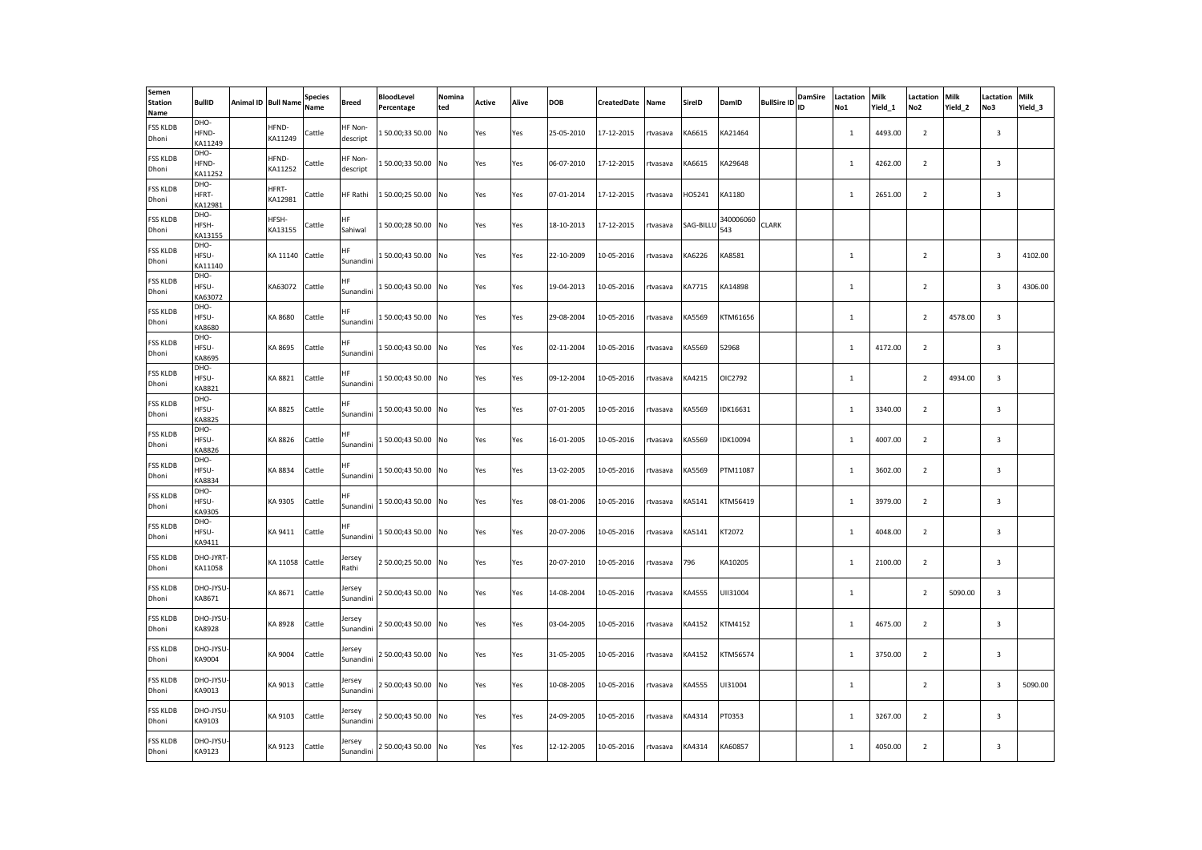| Semen<br><b>Station</b><br>Name | <b>BullID</b>            | Animal ID Bull Name | <b>Species</b><br>Name | Breed                  | <b>BloodLevel</b><br>Percentage | Nomina<br>ted | Active | Alive | <b>DOB</b> | CreatedDate | Name     | SireID    | DamID            | <b>BullSire ID</b> | <b>DamSire</b><br>ID | Lactation<br>No1 | <b>Milk</b><br>Yield 1 | Lactation<br>No <sub>2</sub> | Milk<br>Yield 2 | Lactation<br>No3        | Milk<br>Yield 3 |
|---------------------------------|--------------------------|---------------------|------------------------|------------------------|---------------------------------|---------------|--------|-------|------------|-------------|----------|-----------|------------------|--------------------|----------------------|------------------|------------------------|------------------------------|-----------------|-------------------------|-----------------|
| <b>FSS KLDB</b><br>Dhoni        | DHO-<br>HFND-<br>KA11249 | HFND-<br>KA11249    | Cattle                 | HF Non-<br>descript    | 150.00;33 50.00 No              |               | Yes    | Yes   | 25-05-2010 | 17-12-2015  | rtvasava | KA6615    | KA21464          |                    |                      | $\mathbf{1}$     | 4493.00                | $\overline{2}$               |                 | 3                       |                 |
| <b>FSS KLDB</b><br>Dhoni        | DHO-<br>HFND-<br>KA11252 | HFND-<br>KA11252    | Cattle                 | HF Non-<br>descript    | 150.00;3350.00 No               |               | Yes    | Yes   | 06-07-2010 | 17-12-2015  | tvasava  | KA6615    | KA29648          |                    |                      | $\mathbf 1$      | 4262.00                | $\overline{2}$               |                 | 3                       |                 |
| <b>FSS KLDB</b><br>Dhoni        | DHO-<br>HFRT-<br>KA12981 | HFRT-<br>KA12981    | Cattle                 | HF Rathi               | 150.00;25 50.00 No              |               | Yes    | Yes   | 07-01-2014 | 17-12-2015  | rtvasava | HO5241    | KA1180           |                    |                      | <sup>1</sup>     | 2651.00                | $\overline{2}$               |                 | 3                       |                 |
| <b>FSS KLDB</b><br>Dhoni        | DHO-<br>HFSH-<br>KA13155 | HFSH-<br>KA13155    | Cattle                 | HF<br>Sahiwal          | 150.00;28 50.00 No              |               | Yes    | Yes   | 18-10-2013 | 17-12-2015  | tvasava  | SAG-BILLU | 340006060<br>543 | <b>CLARK</b>       |                      |                  |                        |                              |                 |                         |                 |
| <b>FSS KLDB</b><br>Dhoni        | DHO-<br>HFSU-<br>KA11140 | KA 11140 Cattle     |                        | HF.<br>Sunandini       | 150.00;4350.00 No               |               | Yes    | Yes   | 22-10-2009 | 10-05-2016  | rtvasava | KA6226    | KA8581           |                    |                      | <sup>1</sup>     |                        | $\overline{2}$               |                 | 3                       | 4102.00         |
| <b>FSS KLDB</b><br>Dhoni        | DHO-<br>HFSU-<br>KA63072 | KA63072             | Cattle                 | ΗF<br>Sunandini        | 150.00;4350.00 No               |               | Yes    | Yes   | 19-04-2013 | 10-05-2016  | rtvasava | KA7715    | KA14898          |                    |                      | $\mathbf{1}$     |                        | $\overline{2}$               |                 | $\overline{\mathbf{3}}$ | 4306.00         |
| <b>FSS KLDB</b><br>Dhoni        | DHO-<br>HFSU-<br>KA8680  | KA 8680             | Cattle                 | ΗF<br>Sunandini        | 150.00;4350.00 No               |               | Yes    | Yes   | 29-08-2004 | 10-05-2016  | rtvasava | KA5569    | KTM61656         |                    |                      | 1                |                        | $\overline{2}$               | 4578.00         | $\overline{3}$          |                 |
| <b>FSS KLDB</b><br>Dhoni        | DHO-<br>HFSU-<br>KA8695  | KA 8695             | Cattle                 | HF<br>Sunandini        | 150.00;4350.00 No               |               | Yes    | Yes   | 02-11-2004 | 10-05-2016  | rtvasava | KA5569    | 52968            |                    |                      | <sup>1</sup>     | 4172.00                | $\overline{2}$               |                 | 3                       |                 |
| <b>FSS KLDB</b><br>Dhoni        | DHO-<br>HFSU-<br>KA8821  | KA 8821             | Cattle                 | HF<br>Sunandini        | 150.00;4350.00 No               |               | Yes    | Yes   | 09-12-2004 | 10-05-2016  | rtvasava | KA4215    | OIC2792          |                    |                      | 1                |                        | $\overline{2}$               | 4934.00         | 3                       |                 |
| <b>FSS KLDB</b><br>Dhoni        | DHO-<br>HFSU-<br>KA8825  | KA 8825             | Cattle                 | <b>HF</b><br>Sunandini | 150.00;4350.00 No               |               | Yes    | Yes   | 07-01-2005 | 10-05-2016  | rtvasava | KA5569    | IDK16631         |                    |                      | 1                | 3340.00                | $\overline{2}$               |                 | 3                       |                 |
| <b>FSS KLDB</b><br>Dhoni        | DHO-<br>HFSU-<br>KA8826  | KA 8826             | Cattle                 | HF<br>Sunandini        | 150.00;4350.00 No               |               | Yes    | Yes   | 16-01-2005 | 10-05-2016  | rtvasava | KA5569    | IDK10094         |                    |                      | $\mathbf{1}$     | 4007.00                | $\overline{2}$               |                 | 3                       |                 |
| <b>FSS KLDB</b><br>Dhoni        | DHO-<br>HFSU-<br>KA8834  | KA 8834             | Cattle                 | НF<br>Sunandini        | 150.00;4350.00 No               |               | Yes    | Yes   | 13-02-2005 | 10-05-2016  | rtvasava | KA5569    | PTM11087         |                    |                      | 1                | 3602.00                | $\overline{2}$               |                 | 3                       |                 |
| <b>FSS KLDB</b><br>Dhoni        | DHO-<br>HFSU-<br>KA9305  | KA 9305             | Cattle                 | HF<br>Sunandini        | 150.00;4350.00 No               |               | Yes    | Yes   | 08-01-2006 | 10-05-2016  | rtvasava | KA5141    | KTM56419         |                    |                      | $\mathbf{1}$     | 3979.00                | $\overline{2}$               |                 | $\overline{\mathbf{3}}$ |                 |
| <b>FSS KLDB</b><br>Dhoni        | DHO-<br>HFSU-<br>KA9411  | KA 9411             | Cattle                 | HF<br>Sunandini        | 150.00;4350.00 No               |               | Yes    | Yes   | 20-07-2006 | 10-05-2016  | rtvasava | KA5141    | KT2072           |                    |                      | $\mathbf 1$      | 4048.00                | $\overline{2}$               |                 | 3                       |                 |
| <b>FSS KLDB</b><br>Dhoni        | DHO-JYRT<br>KA11058      | KA 11058 Cattle     |                        | lersey<br>Rathi        | 2 50.00;25 50.00 No             |               | Yes    | Yes   | 20-07-2010 | 10-05-2016  | rtvasava | 796       | KA10205          |                    |                      | <sup>1</sup>     | 2100.00                | $\overline{2}$               |                 | $\overline{3}$          |                 |
| <b>FSS KLDB</b><br>Dhoni        | DHO-JYSU-<br>KA8671      | KA 8671             | Cattle                 | lersey<br>Sunandini    | 2 50.00;43 50.00 No             |               | Yes    | Yes   | 14-08-2004 | 10-05-2016  | tvasava  | KA4555    | UII31004         |                    |                      | $\mathbf{1}$     |                        | $\overline{2}$               | 5090.00         | 3                       |                 |
| <b>FSS KLDB</b><br>Dhoni        | DHO-JYSU<br>KA8928       | KA 8928             | Cattle                 | lersey<br>Sunandini    | 2 50.00;43 50.00 No             |               | Yes    | Yes   | 03-04-2005 | 10-05-2016  | tvasava  | KA4152    | KTM4152          |                    |                      | $\mathbf{1}$     | 4675.00                | $\overline{2}$               |                 | 3                       |                 |
| <b>FSS KLDB</b><br>Dhoni        | DHO-JYSU-<br>KA9004      | KA 9004             | Cattle                 | lersey<br>Sunandini    | 2 50.00;43 50.00 No             |               | Yes    | Yes   | 31-05-2005 | 10-05-2016  | tvasava  | KA4152    | KTM56574         |                    |                      | $\mathbf 1$      | 3750.00                | $\overline{2}$               |                 | $\mathbf{3}$            |                 |
| <b>FSS KLDB</b><br>Dhoni        | DHO-JYSU-<br>KA9013      | KA 9013             | Cattle                 | lersev<br>Sunandini    | 2 50.00;43 50.00 No             |               | Yes    | Yes   | 10-08-2005 | 10-05-2016  | rtvasava | KA4555    | UI31004          |                    |                      | <sup>1</sup>     |                        | $\overline{2}$               |                 | $\overline{\mathbf{3}}$ | 5090.00         |
| <b>FSS KLDB</b><br>Dhoni        | DHO-JYSU<br>KA9103       | KA 9103             | Cattle                 | lersey<br>Sunandini    | 2 50.00;43 50.00 No             |               | Yes    | Yes   | 24-09-2005 | 10-05-2016  | rtvasava | KA4314    | PT0353           |                    |                      | $\mathbf{1}$     | 3267.00                | $\overline{2}$               |                 | $\overline{3}$          |                 |
| <b>FSS KLDB</b><br>Dhoni        | DHO-JYSU<br>KA9123       | KA 9123             | Cattle                 | Jersey<br>Sunandini    | 2 50.00;43 50.00 No             |               | Yes    | Yes   | 12-12-2005 | 10-05-2016  | rtvasava | KA4314    | KA60857          |                    |                      | 1                | 4050.00                | $\overline{2}$               |                 | $\overline{3}$          |                 |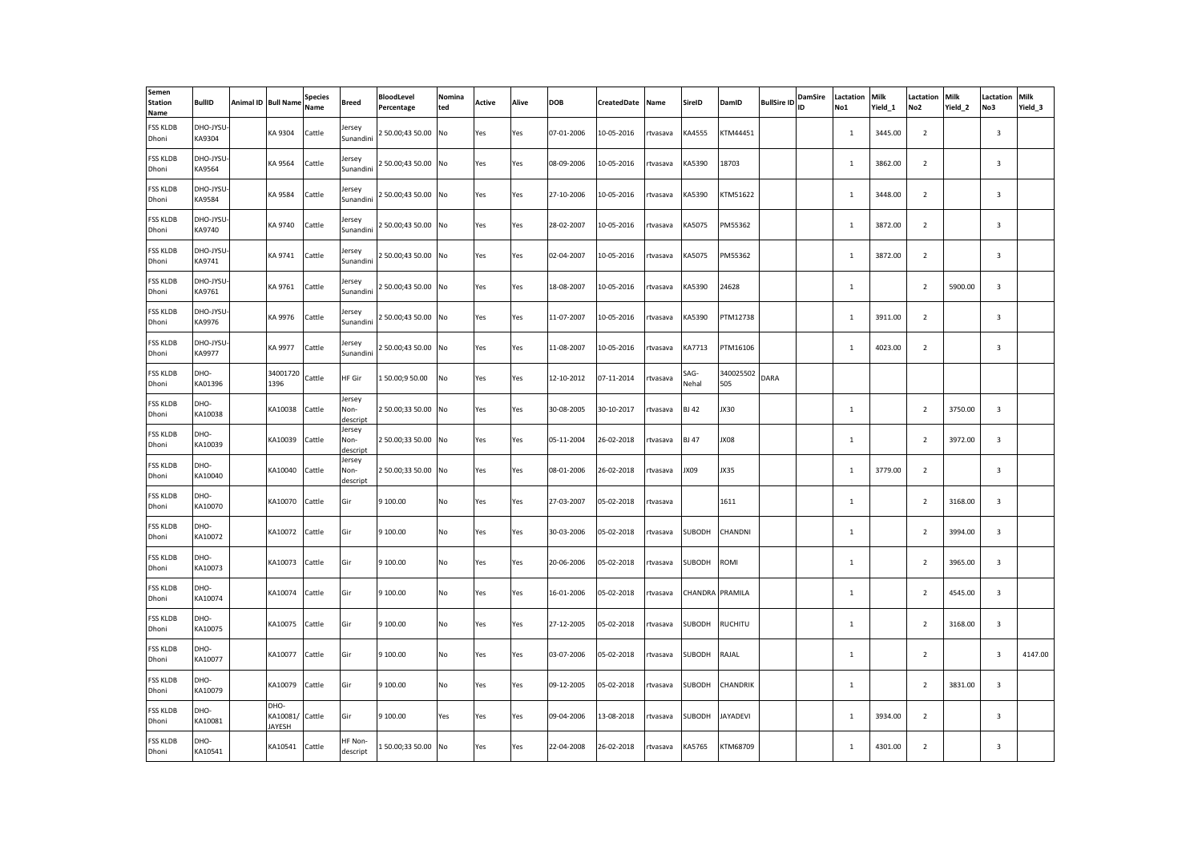| Semen<br><b>Station</b><br>Name | <b>BullID</b>       | Animal ID Bull Name               | <b>Species</b><br>Name | Breed                      | <b>BloodLevel</b><br>Percentage | Nomina<br>ted | Active | Alive | <b>DOB</b> | CreatedDate | Name     | SireID        | DamID            | <b>BullSire ID</b> | DamSire<br>ID | Lactation<br>No1 | <b>Milk</b><br>Yield 1 | Lactation<br>No <sub>2</sub> | Milk<br>Yield 2 | Lactation<br>No3        | Milk<br>Yield 3 |
|---------------------------------|---------------------|-----------------------------------|------------------------|----------------------------|---------------------------------|---------------|--------|-------|------------|-------------|----------|---------------|------------------|--------------------|---------------|------------------|------------------------|------------------------------|-----------------|-------------------------|-----------------|
| <b>FSS KLDB</b><br>Dhoni        | DHO-JYSU<br>KA9304  | KA 9304                           | Cattle                 | Jersey<br>Sunandini        | 2 50.00;43 50.00 No             |               | Yes    | Yes   | 07-01-2006 | 10-05-2016  | rtvasava | KA4555        | KTM44451         |                    |               | $\mathbf{1}$     | 3445.00                | $\overline{2}$               |                 | 3                       |                 |
| <b>FSS KLDB</b><br>Dhoni        | DHO-JYSU<br>KA9564  | KA 9564                           | Cattle                 | lersey<br>Sunandini        | 2 50.00;43 50.00 No             |               | Yes    | Yes   | 08-09-2006 | 10-05-2016  | tvasava  | KA5390        | 18703            |                    |               | $\mathbf 1$      | 3862.00                | $\overline{2}$               |                 | 3                       |                 |
| <b>FSS KLDB</b><br>Dhoni        | DHO-JYSU<br>KA9584  | KA 9584                           | Cattle                 | Jersev<br>Sunandini        | 2 50.00;43 50.00 No             |               | Yes    | Yes   | 27-10-2006 | 10-05-2016  | rtvasava | KA5390        | KTM51622         |                    |               | $\mathbf{1}$     | 3448.00                | $\overline{2}$               |                 | 3                       |                 |
| <b>FSS KLDB</b><br>Dhoni        | DHO-JYSU<br>KA9740  | KA 9740                           | Cattle                 | lersey<br>Sunandini        | 2 50.00;43 50.00 No             |               | Yes    | Yes   | 28-02-2007 | 10-05-2016  | rtvasava | KA5075        | PM55362          |                    |               | $\mathbf{1}$     | 3872.00                | $\overline{2}$               |                 | 3                       |                 |
| <b>FSS KLDB</b><br>Dhoni        | DHO-JYSU-<br>KA9741 | KA 9741                           | Cattle                 | Jersey<br>Sunandini        | 2 50.00;43 50.00 No             |               | Yes    | Yes   | 02-04-2007 | 10-05-2016  | rtvasava | KA5075        | PM55362          |                    |               | $\mathbf{1}$     | 3872.00                | $\overline{2}$               |                 | 3                       |                 |
| <b>FSS KLDB</b><br>Dhoni        | DHO-JYSU<br>KA9761  | KA 9761                           | Cattle                 | lersey<br>Sunandini        | 2 50.00;43 50.00 No             |               | Yes    | Yes   | 18-08-2007 | 10-05-2016  | rtvasava | KA5390        | 24628            |                    |               | $\mathbf 1$      |                        | $\overline{2}$               | 5900.00         | $\overline{3}$          |                 |
| <b>FSS KLDB</b><br>Dhoni        | DHO-JYSU<br>KA9976  | KA 9976                           | Cattle                 | lersey<br>Sunandini        | 2 50.00;43 50.00 No             |               | Yes    | Yes   | 11-07-2007 | 10-05-2016  | rtvasava | KA5390        | PTM12738         |                    |               | 1                | 3911.00                | $\overline{2}$               |                 | $\overline{3}$          |                 |
| <b>FSS KLDB</b><br>Dhoni        | DHO-JYSU<br>KA9977  | KA 9977                           | Cattle                 | Jersey<br>Sunandini        | 2 50.00;43 50.00 No             |               | Yes    | Yes   | 11-08-2007 | 10-05-2016  | rtvasava | KA7713        | PTM16106         |                    |               | <sup>1</sup>     | 4023.00                | $\overline{2}$               |                 | 3                       |                 |
| <b>FSS KLDB</b><br>Dhoni        | DHO-<br>KA01396     | 34001720<br>1396                  | Cattle                 | HF Gir                     | 150.00;950.00                   | No            | Yes    | Yes   | 12-10-2012 | 07-11-2014  | rtvasava | SAG-<br>Nehal | 340025502<br>505 | DARA               |               |                  |                        |                              |                 |                         |                 |
| <b>FSS KLDB</b><br>Dhoni        | DHO-<br>KA10038     | KA10038                           | Cattle                 | Jersey<br>Non-<br>descript | 2 50.00;33 50.00 No             |               | Yes    | Yes   | 30-08-2005 | 30-10-2017  | rtvasava | <b>BJ 42</b>  | JX30             |                    |               | 1                |                        | $\overline{2}$               | 3750.00         | 3                       |                 |
| <b>FSS KLDB</b><br>Dhoni        | DHO-<br>KA10039     | KA10039                           | Cattle                 | Jersey<br>Non-<br>descript | 250.00;3350.00 No               |               | Yes    | Yes   | 05-11-2004 | 26-02-2018  | rtvasava | <b>BJ 47</b>  | 30XL             |                    |               | 1                |                        | $\overline{2}$               | 3972.00         | 3                       |                 |
| <b>FSS KLDB</b><br>Dhoni        | DHO-<br>KA10040     | KA10040                           | Cattle                 | Jersey<br>Non-<br>descript | 250.00;3350.00 No               |               | Yes    | Yes   | 08-01-2006 | 26-02-2018  | rtvasava | 90XL          | JX35             |                    |               | 1                | 3779.00                | $\overline{2}$               |                 | 3                       |                 |
| <b>FSS KLDB</b><br>Dhoni        | DHO-<br>KA10070     | KA10070                           | Cattle                 | Gir                        | 9 100.00                        | No            | Yes    | Yes   | 27-03-2007 | 05-02-2018  | tvasava  |               | 1611             |                    |               | $\mathbf{1}$     |                        | $\overline{2}$               | 3168.00         | $\overline{\mathbf{3}}$ |                 |
| <b>FSS KLDB</b><br>Dhoni        | DHO-<br>KA10072     | KA10072                           | Cattle                 | Gir                        | 9 100.00                        | No            | Yes    | Yes   | 30-03-2006 | 05-02-2018  | rtvasava | <b>SUBODH</b> | CHANDNI          |                    |               | $\mathbf 1$      |                        | $\overline{2}$               | 3994.00         | 3                       |                 |
| <b>FSS KLDB</b><br>Dhoni        | DHO-<br>KA10073     | KA10073                           | Cattle                 | Gir                        | 9 100.00                        | No            | Yes    | Yes   | 20-06-2006 | 05-02-2018  | rtvasava | SUBODH        | ROMI             |                    |               | $\mathbf{1}$     |                        | $\overline{2}$               | 3965.00         | $\overline{3}$          |                 |
| <b>FSS KLDB</b><br>Dhoni        | DHO-<br>KA10074     | KA10074                           | Cattle                 | Gir                        | 9 100.00                        | No            | Yes    | Yes   | 16-01-2006 | 05-02-2018  | tvasava  | CHANDRA       | PRAMILA          |                    |               | $\mathbf{1}$     |                        | $\overline{2}$               | 4545.00         | $\overline{3}$          |                 |
| <b>FSS KLDB</b><br>Dhoni        | DHO-<br>KA10075     | KA10075                           | Cattle                 | Gir                        | 9 100.00                        | No            | Yes    | Yes   | 27-12-2005 | 05-02-2018  | tvasava  | SUBODH        | RUCHITU          |                    |               | $\mathbf 1$      |                        | $\overline{2}$               | 3168.00         | 3                       |                 |
| <b>FSS KLDB</b><br>Dhoni        | DHO-<br>KA10077     | KA10077                           | Cattle                 | Gir                        | 9 100.00                        | No            | Yes    | Yes   | 03-07-2006 | 05-02-2018  | tvasava  | SUBODH        | RAJAL            |                    |               | $\mathbf 1$      |                        | $\overline{2}$               |                 | $\overline{\mathbf{3}}$ | 4147.00         |
| <b>FSS KLDB</b><br>Dhoni        | DHO-<br>KA10079     | KA10079                           | Cattle                 | Gir                        | 9 100.00                        | No            | Yes    | Yes   | 09-12-2005 | 05-02-2018  | rtvasava | <b>SUBODH</b> | CHANDRIK         |                    |               | $\mathbf{1}$     |                        | $\overline{2}$               | 3831.00         | 3                       |                 |
| <b>FSS KLDB</b><br>Dhoni        | DHO-<br>KA10081     | DHO-<br>KA10081/ Cattle<br>JAYESH |                        | Gir                        | 9 100.00                        | Yes           | Yes    | Yes   | 09-04-2006 | 13-08-2018  | rtvasava | SUBODH        | <b>JAYADEVI</b>  |                    |               | $\mathbf{1}$     | 3934.00                | $\overline{2}$               |                 | $\overline{3}$          |                 |
| <b>FSS KLDB</b><br>Dhoni        | DHO-<br>KA10541     | KA10541                           | Cattle                 | HF Non-<br>descript        | 150.00;3350.00 No               |               | Yes    | Yes   | 22-04-2008 | 26-02-2018  | rtvasava | KA5765        | KTM68709         |                    |               | 1                | 4301.00                | $\overline{2}$               |                 | $\overline{3}$          |                 |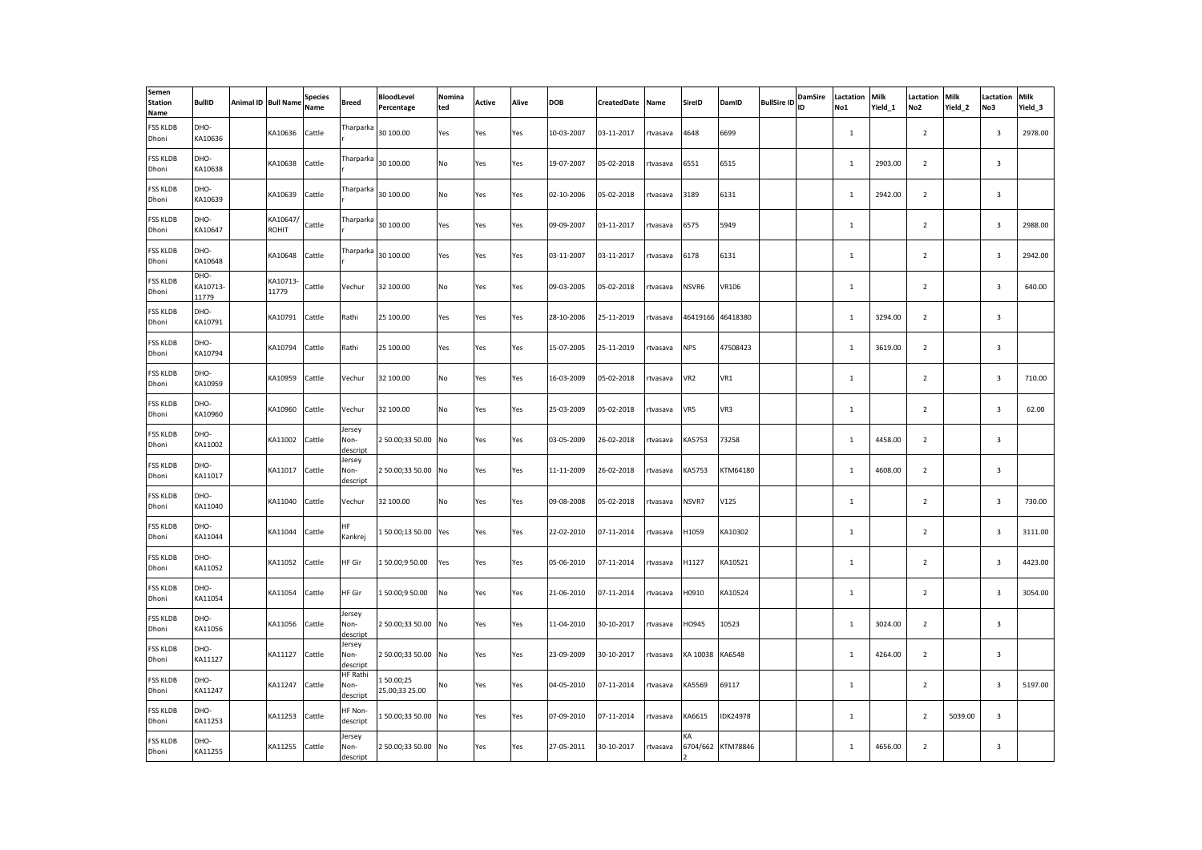| Semen<br><b>Station</b><br>Name | <b>BullID</b>             | Animal ID Bull Name      | <b>Species</b><br>Name | Breed                               | <b>BloodLevel</b><br>Percentage | Nomina<br>ted | Active | Alive | <b>DOB</b> | CreatedDate | Name     | SireID          | DamID             | <b>BullSire ID</b> | <b>DamSire</b><br>ID | Lactation<br>No1 | <b>Milk</b><br>Yield 1 | Lactation<br>No <sub>2</sub> | Milk<br>Yield 2 | Lactation<br>No3        | Milk<br>Yield_3 |
|---------------------------------|---------------------------|--------------------------|------------------------|-------------------------------------|---------------------------------|---------------|--------|-------|------------|-------------|----------|-----------------|-------------------|--------------------|----------------------|------------------|------------------------|------------------------------|-----------------|-------------------------|-----------------|
| <b>FSS KLDB</b><br>Dhoni        | DHO-<br>KA10636           | KA10636                  | Cattle                 | Tharparka                           | 30 100.00                       | Yes           | Yes    | Yes   | 10-03-2007 | 03-11-2017  | rtvasava | 4648            | 6699              |                    |                      | $\mathbf{1}$     |                        | $\overline{2}$               |                 | $\mathbf{3}$            | 2978.00         |
| <b>FSS KLDB</b><br>Dhoni        | DHO-<br>KA10638           | KA10638                  | Cattle                 | Tharparka                           | 30 100.00                       | No            | Yes    | Yes   | 19-07-2007 | 05-02-2018  | tvasava  | 6551            | 6515              |                    |                      | $\mathbf 1$      | 2903.00                | $\overline{2}$               |                 | $\mathbf{3}$            |                 |
| <b>FSS KLDB</b><br>Dhoni        | DHO-<br>KA10639           | KA10639                  | Cattle                 | Tharparka                           | 30 100.00                       | No            | Yes    | Yes   | 02-10-2006 | 05-02-2018  | rtvasava | 3189            | 6131              |                    |                      | $\mathbf{1}$     | 2942.00                | $\overline{2}$               |                 | $\mathbf{3}$            |                 |
| <b>FSS KLDB</b><br>Dhoni        | DHO-<br>KA10647           | KA10647/<br><b>ROHIT</b> | Cattle                 | Tharparka                           | 30 100.00                       | Yes           | Yes    | Yes   | 09-09-2007 | 03-11-2017  | tvasava  | 6575            | 5949              |                    |                      | $\mathbf 1$      |                        | $\overline{2}$               |                 | $\overline{\mathbf{3}}$ | 2988.00         |
| <b>FSS KLDB</b><br>Dhoni        | DHO-<br>KA10648           | KA10648                  | Cattle                 | Tharparka                           | 30 100.00                       | Yes           | Yes    | Yes   | 03-11-2007 | 03-11-2017  | rtvasava | 6178            | 6131              |                    |                      | $\mathbf{1}$     |                        | $\overline{2}$               |                 | $\mathbf{3}$            | 2942.00         |
| <b>FSS KLDB</b><br>Dhoni        | DHO-<br>KA10713-<br>11779 | KA10713-<br>11779        | Cattle                 | Vechur                              | 32 100.00                       | No            | Yes    | Yes   | 09-03-2005 | 05-02-2018  | rtvasava | NSVR6           | VR106             |                    |                      | $\mathbf 1$      |                        | $\overline{2}$               |                 | $\overline{3}$          | 640.00          |
| <b>FSS KLDB</b><br>Dhoni        | DHO-<br>KA10791           | KA10791                  | Cattle                 | Rathi                               | 25 100.00                       | Yes           | Yes    | Yes   | 28-10-2006 | 25-11-2019  | rtvasava | 46419166        | 46418380          |                    |                      | $\mathbf{1}$     | 3294.00                | $\overline{2}$               |                 | $\overline{3}$          |                 |
| <b>FSS KLDB</b><br>Dhoni        | DHO-<br>KA10794           | KA10794                  | Cattle                 | Rathi                               | 25 100.00                       | Yes           | Yes    | Yes   | 15-07-2005 | 25-11-2019  | rtvasava | <b>NPS</b>      | 47508423          |                    |                      | $\mathbf{1}$     | 3619.00                | $\overline{2}$               |                 | $\overline{3}$          |                 |
| <b>FSS KLDB</b><br>Dhoni        | DHO-<br>KA10959           | KA10959                  | Cattle                 | Vechur                              | 32 100.00                       | No            | Yes    | Yes   | 16-03-2009 | 05-02-2018  | rtvasava | VR <sub>2</sub> | VR1               |                    |                      | $\mathbf{1}$     |                        | $\overline{2}$               |                 | $\overline{\mathbf{3}}$ | 710.00          |
| <b>FSS KLDB</b><br>Dhoni        | DHO-<br>KA10960           | KA10960                  | Cattle                 | Vechur                              | 32 100.00                       | No            | Yes    | Yes   | 25-03-2009 | 05-02-2018  | rtvasava | VR5             | VR3               |                    |                      | $\mathbf{1}$     |                        | $\overline{2}$               |                 | 3                       | 62.00           |
| <b>FSS KLDB</b><br>Dhoni        | DHO-<br>KA11002           | KA11002                  | Cattle                 | Jersey<br>Non-<br>descript          | 250.00;3350.00 No               |               | Yes    | Yes   | 03-05-2009 | 26-02-2018  | rtvasava | KA5753          | 73258             |                    |                      | $\mathbf{1}$     | 4458.00                | $\overline{2}$               |                 | 3                       |                 |
| <b>FSS KLDB</b><br>Dhoni        | DHO-<br>KA11017           | KA11017                  | Cattle                 | Jersey<br>Non-<br>descript          | 250.00;3350.00 No               |               | Yes    | Yes   | 11-11-2009 | 26-02-2018  | rtvasava | KA5753          | KTM64180          |                    |                      | <sup>1</sup>     | 4608.00                | $\overline{2}$               |                 | $\overline{3}$          |                 |
| <b>FSS KLDB</b><br>Dhoni        | DHO-<br>KA11040           | KA11040                  | Cattle                 | Vechur                              | 32 100.00                       | No            | Yes    | Yes   | 09-08-2008 | 05-02-2018  | tvasava  | NSVR7           | V125              |                    |                      | $\mathbf{1}$     |                        | $\overline{2}$               |                 | $\overline{\mathbf{3}}$ | 730.00          |
| <b>FSS KLDB</b><br>Dhoni        | DHO-<br>KA11044           | KA11044                  | Cattle                 | HF<br>Kankrej                       | 150.00;1350.00                  | Yes           | Yes    | Yes   | 22-02-2010 | 07-11-2014  | rtvasava | H1059           | KA10302           |                    |                      | $\mathbf 1$      |                        | $\overline{2}$               |                 | $\mathbf{3}$            | 3111.00         |
| <b>FSS KLDB</b><br>Dhoni        | DHO-<br>KA11052           | KA11052                  | Cattle                 | HF Gir                              | 150.00;950.00                   | Yes           | Yes    | Yes   | 05-06-2010 | 07-11-2014  | rtvasava | H1127           | KA10521           |                    |                      | $\mathbf{1}$     |                        | $\overline{2}$               |                 | $\overline{3}$          | 4423.00         |
| <b>FSS KLDB</b><br>Dhoni        | DHO-<br>KA11054           | KA11054                  | Cattle                 | HF Gir                              | 150.00;950.00                   | No            | Yes    | Yes   | 21-06-2010 | 07-11-2014  | tvasava  | H0910           | KA10524           |                    |                      | $\mathbf 1$      |                        | $\overline{2}$               |                 | 3                       | 3054.00         |
| <b>FSS KLDB</b><br>Dhoni        | DHO-<br>KA11056           | KA11056                  | Cattle                 | Jersey<br>Non-<br>descript          | 2 50.00;33 50.00 No             |               | Yes    | Yes   | 11-04-2010 | 30-10-2017  | tvasava  | HO945           | 10523             |                    |                      | $\,$ 1           | 3024.00                | $\overline{2}$               |                 | $\mathbf{3}$            |                 |
| <b>FSS KLDB</b><br>Dhoni        | DHO-<br>KA11127           | KA11127                  | Cattle                 | Jersey<br>Non-<br>descript          | 2 50.00;33 50.00 No             |               | Yes    | Yes   | 23-09-2009 | 30-10-2017  | tvasava  | KA 10038        | KA6548            |                    |                      | $\mathbf 1$      | 4264.00                | $\overline{2}$               |                 | $\mathbf{3}$            |                 |
| <b>FSS KLDB</b><br>Dhoni        | DHO-<br>KA11247           | KA11247                  | Cattle                 | <b>HF Rathi</b><br>Non-<br>descript | 150.00:25<br>25.00;33 25.00     | No            | Yes    | Yes   | 04-05-2010 | 07-11-2014  | tvasava  | KA5569          | 69117             |                    |                      | $\mathbf 1$      |                        | $\overline{2}$               |                 | $\overline{\mathbf{3}}$ | 5197.00         |
| <b>FSS KLDB</b><br>Dhoni        | DHO-<br>KA11253           | KA11253                  | Cattle                 | HF Non-<br>descript                 | 150.00;33 50.00 No              |               | Yes    | Yes   | 07-09-2010 | 07-11-2014  | rtvasava | KA6615          | <b>IDK24978</b>   |                    |                      | $\mathbf 1$      |                        | $\overline{2}$               | 5039.00         | $\overline{3}$          |                 |
| <b>FSS KLDB</b><br>Dhoni        | DHO-<br>KA11255           | KA11255                  | Cattle                 | Jersey<br>Non-<br>descript          | 2 50.00;33 50.00 No             |               | Yes    | Yes   | 27-05-2011 | 30-10-2017  | rtvasava | KА              | 6704/662 KTM78846 |                    |                      | $\mathbf{1}$     | 4656.00                | $\overline{2}$               |                 | $\overline{3}$          |                 |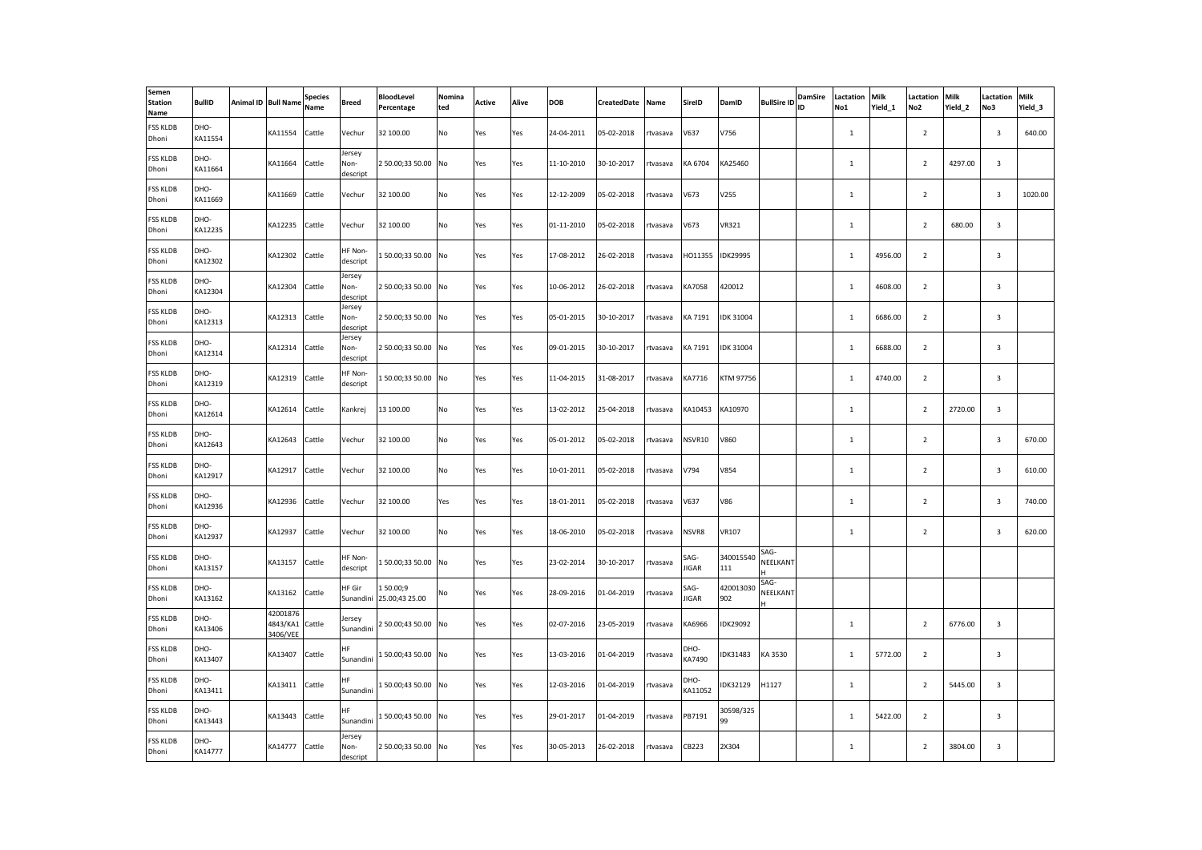| Semen<br><b>Station</b><br>Name | <b>BullID</b>   | Animal ID Bull Name              | <b>Species</b><br>Name | Breed                      | <b>BloodLevel</b><br>Percentage | Nomina<br>ted | Active | Alive | <b>DOB</b> | CreatedDate | Name     | SireID          | DamID            | <b>BullSire ID</b> | <b>DamSire</b><br>ID | Lactation<br>No1 | <b>Milk</b><br>Yield 1 | Lactation<br>No <sub>2</sub> | Milk<br>Yield 2 | Lactation<br>No3 | Milk<br>Yield_3 |
|---------------------------------|-----------------|----------------------------------|------------------------|----------------------------|---------------------------------|---------------|--------|-------|------------|-------------|----------|-----------------|------------------|--------------------|----------------------|------------------|------------------------|------------------------------|-----------------|------------------|-----------------|
| <b>FSS KLDB</b><br>Dhoni        | DHO-<br>KA11554 | KA11554                          | Cattle                 | Vechur                     | 32 100.00                       | No            | Yes    | Yes   | 24-04-2011 | 05-02-2018  | rtvasava | V637            | V756             |                    |                      | $\mathbf{1}$     |                        | $\overline{2}$               |                 | $\overline{3}$   | 640.00          |
| <b>FSS KLDB</b><br>Dhoni        | DHO-<br>KA11664 | KA11664                          | Cattle                 | Jersey<br>Non-<br>descript | 2 50.00;33 50.00 No             |               | Yes    | Yes   | 11-10-2010 | 30-10-2017  | tvasava  | KA 6704         | KA25460          |                    |                      | $\mathbf 1$      |                        | $\overline{2}$               | 4297.00         | 3                |                 |
| <b>FSS KLDB</b><br>Dhoni        | DHO-<br>KA11669 | KA11669                          | Cattle                 | Vechur                     | 32 100.00                       | No            | Yes    | Yes   | 12-12-2009 | 05-02-2018  | rtvasava | V673            | V255             |                    |                      | $\mathbf{1}$     |                        | $\overline{2}$               |                 | 3                | 1020.00         |
| <b>FSS KLDB</b><br>Dhoni        | DHO-<br>KA12235 | KA12235                          | Cattle                 | Vechur                     | 32 100.00                       | No            | Yes    | Yes   | 01-11-2010 | 05-02-2018  | tvasava  | V673            | VR321            |                    |                      | $\mathbf{1}$     |                        | $\overline{2}$               | 680.00          | 3                |                 |
| <b>FSS KLDB</b><br>Dhoni        | DHO-<br>KA12302 | KA12302                          | Cattle                 | HF Non-<br>descript        | 150.00;3350.00 No               |               | Yes    | Yes   | 17-08-2012 | 26-02-2018  | rtvasava | HO11355         | <b>IDK29995</b>  |                    |                      | $\mathbf{1}$     | 4956.00                | $\overline{2}$               |                 | $\mathbf{3}$     |                 |
| <b>FSS KLDB</b><br>Dhoni        | DHO-<br>KA12304 | KA12304                          | Cattle                 | Jersey<br>Non-<br>descript | 250.00;3350.00 No               |               | Yes    | Yes   | 10-06-2012 | 26-02-2018  | rtvasava | KA7058          | 420012           |                    |                      | $\mathbf 1$      | 4608.00                | $\overline{2}$               |                 | $\overline{3}$   |                 |
| <b>FSS KLDB</b><br>Dhoni        | DHO-<br>KA12313 | KA12313                          | Cattle                 | Jersey<br>Non-<br>descript | 250.00;3350.00 No               |               | Yes    | Yes   | 05-01-2015 | 30-10-2017  | rtvasava | KA 7191         | <b>IDK 31004</b> |                    |                      | 1                | 6686.00                | $\overline{2}$               |                 | $\overline{3}$   |                 |
| <b>FSS KLDB</b><br>Dhoni        | DHO-<br>KA12314 | KA12314                          | Cattle                 | Jersey<br>Non-<br>descript | 250.00;3350.00 No               |               | Yes    | Yes   | 09-01-2015 | 30-10-2017  | rtvasava | KA 7191         | <b>IDK 31004</b> |                    |                      | $\mathbf{1}$     | 6688.00                | $\overline{2}$               |                 | $\overline{3}$   |                 |
| <b>FSS KLDB</b><br>Dhoni        | DHO-<br>KA12319 | KA12319                          | Cattle                 | HF Non-<br>descript        | 150.00;3350.00 No               |               | Yes    | Yes   | 11-04-2015 | 31-08-2017  | rtvasava | KA7716          | KTM 97756        |                    |                      | $\mathbf{1}$     | 4740.00                | $\overline{2}$               |                 | 3                |                 |
| <b>FSS KLDB</b><br>Dhoni        | DHO-<br>KA12614 | KA12614                          | Cattle                 | Kankrej                    | 13 100.00                       | No            | Yes    | Yes   | 13-02-2012 | 25-04-2018  | rtvasava | KA10453         | KA10970          |                    |                      | $\mathbf{1}$     |                        | $\overline{2}$               | 2720.00         | 3                |                 |
| <b>FSS KLDB</b><br>Dhoni        | DHO-<br>KA12643 | KA12643                          | Cattle                 | Vechur                     | 32 100.00                       | No            | Yes    | Yes   | 05-01-2012 | 05-02-2018  | rtvasava | NSVR10          | V860             |                    |                      | $\mathbf{1}$     |                        | $\overline{2}$               |                 | 3                | 670.00          |
| <b>FSS KLDB</b><br>Dhoni        | DHO-<br>KA12917 | KA12917                          | Cattle                 | Vechur                     | 32 100.00                       | No            | Yes    | Yes   | 10-01-2011 | 05-02-2018  | rtvasava | V794            | V854             |                    |                      | $\mathbf{1}$     |                        | $\overline{2}$               |                 | 3                | 610.00          |
| <b>FSS KLDB</b><br>Dhoni        | DHO-<br>KA12936 | KA12936                          | Cattle                 | Vechur                     | 32 100.00                       | Yes           | Yes    | Yes   | 18-01-2011 | 05-02-2018  | rtvasava | V637            | V86              |                    |                      | $\mathbf{1}$     |                        | $\overline{2}$               |                 | $\overline{3}$   | 740.00          |
| <b>FSS KLDB</b><br>Dhoni        | DHO-<br>KA12937 | KA12937                          | Cattle                 | Vechur                     | 32 100.00                       | No            | Yes    | Yes   | 18-06-2010 | 05-02-2018  | rtvasava | NSVR8           | <b>VR107</b>     |                    |                      | $\mathbf{1}$     |                        | $\overline{2}$               |                 | $\mathbf{3}$     | 620.00          |
| <b>FSS KLDB</b><br>Dhoni        | DHO-<br>KA13157 | KA13157                          | Cattle                 | HF Non-<br>descript        | 150.00;3350.00 No               |               | Yes    | Yes   | 23-02-2014 | 30-10-2017  | rtvasava | SAG-<br>JIGAR   | 340015540<br>111 | SAG-<br>NEELKANT   |                      |                  |                        |                              |                 |                  |                 |
| <b>FSS KLDB</b><br>Dhoni        | DHO-<br>KA13162 | KA13162                          | Cattle                 | HF Gir<br>Sunandini        | 150.00;9<br>25.00;43 25.00      | No            | Yes    | Yes   | 28-09-2016 | 01-04-2019  | tvasava  | SAG-<br>JIGAR   | 420013030<br>902 | SAG-<br>NEELKANT   |                      |                  |                        |                              |                 |                  |                 |
| <b>FSS KLDB</b><br>Dhoni        | DHO-<br>KA13406 | 42001876<br>4843/KA1<br>3406/VEE | Cattle                 | lersey<br>Sunandini        | 2 50.00;43 50.00 No             |               | Yes    | Yes   | 02-07-2016 | 23-05-2019  | tvasava  | KA6966          | IDK29092         |                    |                      | $\mathbf 1$      |                        | $\overline{2}$               | 6776.00         | 3                |                 |
| <b>FSS KLDB</b><br>Dhoni        | DHO-<br>KA13407 | KA13407                          | Cattle                 | <b>HF</b><br>Sunandini     | 150.00;43 50.00 No              |               | Yes    | Yes   | 13-03-2016 | 01-04-2019  | rtvasava | DHO-<br>KA7490  | IDK31483         | KA 3530            |                      | $\mathbf 1$      | 5772.00                | $\overline{2}$               |                 | 3                |                 |
| <b>FSS KLDB</b><br>Dhoni        | DHO-<br>KA13411 | KA13411                          | Cattle                 | <b>HF</b><br>Sunandini     | 150.00;43 50.00 No              |               | Yes    | Yes   | 12-03-2016 | 01-04-2019  | rtvasava | DHO-<br>KA11052 | <b>IDK32129</b>  | H1127              |                      | <sup>1</sup>     |                        | $\overline{2}$               | 5445.00         | 3                |                 |
| <b>FSS KLDB</b><br>Dhoni        | DHO-<br>KA13443 | KA13443                          | Cattle                 | ΗF<br>Sunandini            | 150.00;43 50.00 No              |               | Yes    | Yes   | 29-01-2017 | 01-04-2019  | rtvasava | PB7191          | 30598/325<br>99  |                    |                      | $\mathbf 1$      | 5422.00                | $\overline{2}$               |                 | 3                |                 |
| <b>FSS KLDB</b><br>Dhoni        | DHO-<br>KA14777 | KA14777                          | Cattle                 | Jersey<br>Non-<br>descript | 250.00;3350.00 No               |               | Yes    | Yes   | 30-05-2013 | 26-02-2018  | rtvasava | CB223           | 2X304            |                    |                      | $\mathbf 1$      |                        | $\overline{2}$               | 3804.00         | $\overline{3}$   |                 |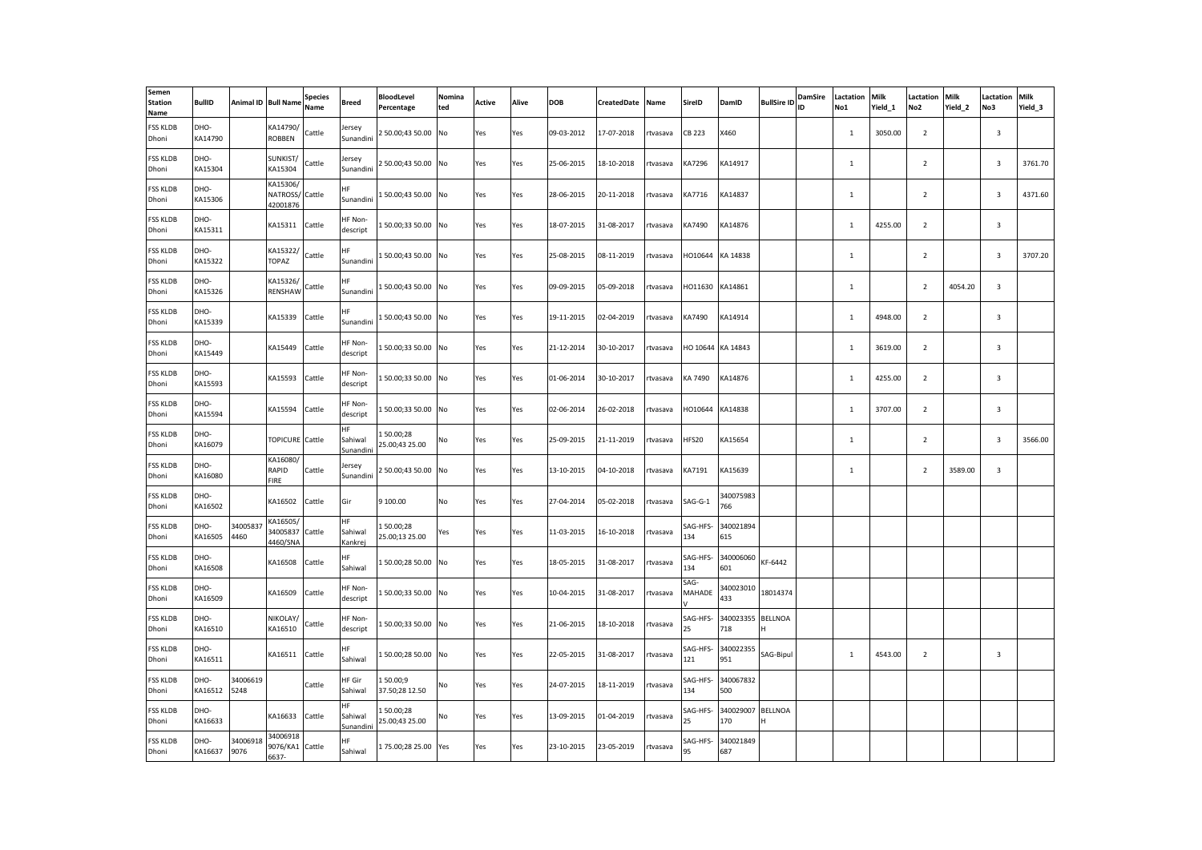| Semen<br><b>Station</b><br>Name | <b>BullID</b>   |                  | Animal ID Bull Name                  | <b>Species</b><br>Name | Breed                      | <b>BloodLevel</b><br>Percentage | Nomina<br>ted | Active | Alive | <b>DOB</b> | CreatedDate | Name     | SireID          | DamID             | <b>BullSire ID</b> | <b>DamSire</b><br>ID | Lactation<br>No1 | Milk<br>Yield 1 | Lactation<br>No <sub>2</sub> | <b>Milk</b><br>Yield 2 | Lactation<br>No3        | Milk<br>Yield_3 |
|---------------------------------|-----------------|------------------|--------------------------------------|------------------------|----------------------------|---------------------------------|---------------|--------|-------|------------|-------------|----------|-----------------|-------------------|--------------------|----------------------|------------------|-----------------|------------------------------|------------------------|-------------------------|-----------------|
| <b>FSS KLDB</b><br>Dhoni        | DHO-<br>KA14790 |                  | KA14790/<br><b>ROBBEN</b>            | Cattle                 | Jersey<br>Sunandini        | 2 50.00;43 50.00                | No            | Yes    | Yes   | 09-03-2012 | 17-07-2018  | rtvasava | CB 223          | X460              |                    |                      | $\mathbf{1}$     | 3050.00         | $\overline{2}$               |                        | $\overline{\mathbf{3}}$ |                 |
| <b>FSS KLDB</b><br>Dhoni        | DHO-<br>KA15304 |                  | SUNKIST/<br>KA15304                  | Cattle                 | lersey<br>Sunandini        | 2 50.00;43 50.00                | No            | Yes    | Yes   | 25-06-2015 | 18-10-2018  | tvasava  | KA7296          | KA14917           |                    |                      | $\mathbf{1}$     |                 | $\overline{2}$               |                        | $\overline{\mathbf{3}}$ | 3761.70         |
| <b>FSS KLDB</b><br>Dhoni        | DHO-<br>KA15306 |                  | KA15306/<br>NATROSS/<br>42001876     | Cattle                 | HF.<br>Sunandini           | 150.00;4350.00 No               |               | Yes    | Yes   | 28-06-2015 | 20-11-2018  | rtvasava | KA7716          | KA14837           |                    |                      | $\mathbf{1}$     |                 | $\overline{2}$               |                        | $\overline{\mathbf{3}}$ | 4371.60         |
| <b>FSS KLDB</b><br>Dhoni        | DHO-<br>KA15311 |                  | KA15311                              | Cattle                 | HF Non-<br>descript        | 150.00;3350.00                  | No            | Yes    | Yes   | 18-07-2015 | 31-08-2017  | tvasava  | KA7490          | KA14876           |                    |                      | $\mathbf{1}$     | 4255.00         | $\overline{2}$               |                        | $\overline{\mathbf{3}}$ |                 |
| <b>FSS KLDB</b><br>Dhoni        | DHO-<br>KA15322 |                  | KA15322/<br>TOPAZ                    | Cattle                 | HF.<br>Sunandini           | 150.00;4350.00                  | No            | Yes    | Yes   | 25-08-2015 | 08-11-2019  | rtvasava | HO10644         | KA 14838          |                    |                      | $\mathbf{1}$     |                 | $\overline{2}$               |                        | $\overline{\mathbf{3}}$ | 3707.20         |
| <b>FSS KLDB</b><br>Dhoni        | DHO-<br>KA15326 |                  | KA15326/<br>RENSHAW                  | Cattle                 | ΗF<br>Sunandini            | 150.00;4350.00 No               |               | Yes    | Yes   | 09-09-2015 | 05-09-2018  | tvasava  | HO11630         | KA14861           |                    |                      | $\mathbf{1}$     |                 | $\overline{2}$               | 4054.20                | $\overline{\mathbf{3}}$ |                 |
| <b>FSS KLDB</b><br>Dhoni        | DHO-<br>KA15339 |                  | KA15339                              | Cattle                 | ΗF<br>Sunandini            | 150.00;4350.00 No               |               | Yes    | Yes   | 19-11-2015 | 02-04-2019  | rtvasava | KA7490          | KA14914           |                    |                      | $\mathbf{1}$     | 4948.00         | $\overline{2}$               |                        | $\mathbf{3}$            |                 |
| <b>FSS KLDB</b><br>Dhoni        | DHO-<br>KA15449 |                  | KA15449                              | Cattle                 | HF Non-<br>descript        | 150.00;3350.00 No               |               | Yes    | Yes   | 21-12-2014 | 30-10-2017  | rtvasava |                 | HO 10644 KA 14843 |                    |                      | $\mathbf{1}$     | 3619.00         | $\overline{2}$               |                        | $\overline{\mathbf{3}}$ |                 |
| <b>FSS KLDB</b><br>Dhoni        | DHO-<br>KA15593 |                  | KA15593                              | Cattle                 | HF Non-<br>descript        | 50.00;33 50.00                  | No            | Yes    | Yes   | 01-06-2014 | 30-10-2017  | tvasava  | KA 7490         | KA14876           |                    |                      | $1\,$            | 4255.00         | $\overline{2}$               |                        | $\mathbf{3}$            |                 |
| <b>FSS KLDB</b><br>Dhoni        | DHO-<br>KA15594 |                  | KA15594                              | Cattle                 | HF Non-<br>descript        | 150.00;3350.00 No               |               | Yes    | Yes   | 02-06-2014 | 26-02-2018  | rtvasava | HO10644         | KA14838           |                    |                      | $\mathbf{1}$     | 3707.00         | $\overline{2}$               |                        | $\overline{\mathbf{3}}$ |                 |
| <b>FSS KLDB</b><br>Dhoni        | DHO-<br>KA16079 |                  | TOPICURE Cattle                      |                        | ΗF<br>Sahiwal<br>Sunandini | L 50.00;28<br>25.00;43 25.00    | No            | Yes    | Yes   | 25-09-2015 | 21-11-2019  | tvasava  | HFS20           | KA15654           |                    |                      | $\mathbf{1}$     |                 | $\overline{2}$               |                        | $\overline{\mathbf{3}}$ | 3566.00         |
| <b>FSS KLDB</b><br>Dhoni        | DHO-<br>KA16080 |                  | KA16080/<br>RAPID<br><b>FIRE</b>     | Cattle                 | lersey<br>Sunandini        | 2 50.00;43 50.00                | No            | Yes    | Yes   | 13-10-2015 | 04-10-2018  | rtvasava | KA7191          | KA15639           |                    |                      | $\mathbf{1}$     |                 | $\overline{2}$               | 3589.00                | $\mathbf{3}$            |                 |
| <b>FSS KLDB</b><br>Dhoni        | DHO-<br>KA16502 |                  | KA16502                              | Cattle                 | Gir                        | 9 100.00                        | No            | Yes    | Yes   | 27-04-2014 | 05-02-2018  | rtvasava | $SAG-G-1$       | 340075983<br>766  |                    |                      |                  |                 |                              |                        |                         |                 |
| <b>FSS KLDB</b><br>Dhoni        | DHO-<br>KA16505 | 3400583<br>4460  | KA16505/<br>34005837<br>4460/SNA     | Cattle                 | HF<br>Sahiwal<br>Kankrej   | 150.00;28<br>25.00;13 25.00     | Yes           | Yes    | Yes   | 11-03-2015 | 16-10-2018  | tvasava  | SAG-HFS-<br>134 | 340021894<br>615  |                    |                      |                  |                 |                              |                        |                         |                 |
| <b>FSS KLDB</b><br>Dhoni        | DHO-<br>KA16508 |                  | KA16508                              | Cattle                 | HF.<br>Sahiwal             | 150.00;2850.00 No               |               | Yes    | Yes   | 18-05-2015 | 31-08-2017  | rtvasava | SAG-HFS-<br>134 | 340006060<br>601  | KF-6442            |                      |                  |                 |                              |                        |                         |                 |
| <b>FSS KLDB</b><br>Dhoni        | DHO-<br>KA16509 |                  | KA16509                              | Cattle                 | HF Non-<br>descript        | 150.00;3350.00 No               |               | Yes    | Yes   | 10-04-2015 | 31-08-2017  | tvasava  | SAG-<br>MAHADE  | 340023010<br>433  | 18014374           |                      |                  |                 |                              |                        |                         |                 |
| <b>FSS KLDB</b><br>Dhoni        | DHO-<br>KA16510 |                  | NIKOLAY/<br>KA16510                  | Cattle                 | HF Non-<br>descript        | 150.00;3350.00                  | No            | Yes    | Yes   | 21-06-2015 | 18-10-2018  | rtvasava | SAG-HFS-<br>25  | 340023355<br>718  | <b>BELLNOA</b>     |                      |                  |                 |                              |                        |                         |                 |
| <b>FSS KLDB</b><br>Dhoni        | DHO-<br>KA16511 |                  | KA16511                              | Cattle                 | ΗF<br>Sahiwal              | 150.00;2850.00                  | No            | Yes    | Yes   | 22-05-2015 | 31-08-2017  | rtvasava | SAG-HFS-<br>121 | 340022355<br>951  | SAG-Bipul          |                      | $\mathbf{1}$     | 4543.00         | $\overline{2}$               |                        | $\overline{\mathbf{3}}$ |                 |
| <b>FSS KLDB</b><br>Dhoni        | DHO-<br>KA16512 | 34006619<br>5248 |                                      | Cattle                 | HF Gir<br>Sahiwal          | 150.00;9<br>37.50;28 12.50      | No            | Yes    | Yes   | 24-07-2015 | 18-11-2019  | rtvasava | SAG-HFS-<br>134 | 340067832<br>500  |                    |                      |                  |                 |                              |                        |                         |                 |
| <b>FSS KLDB</b><br>Dhoni        | DHO-<br>KA16633 |                  | KA16633                              | Cattle                 | HF<br>Sahiwal<br>Sunandini | 150.00;28<br>25.00;43 25.00     | No            | Yes    | Yes   | 13-09-2015 | 01-04-2019  | rtvasava | SAG-HFS-<br>25  | 340029007<br>170  | <b>BELLNOA</b>     |                      |                  |                 |                              |                        |                         |                 |
| <b>FSS KLDB</b><br>Dhoni        | DHO-<br>KA16637 | 34006918<br>9076 | 34006918<br>9076/KA1 Cattle<br>6637- |                        | HF.<br>Sahiwal             | 175.00;28 25.00                 | Yes           | Yes    | Yes   | 23-10-2015 | 23-05-2019  | rtvasava | SAG-HFS-<br>95  | 340021849<br>687  |                    |                      |                  |                 |                              |                        |                         |                 |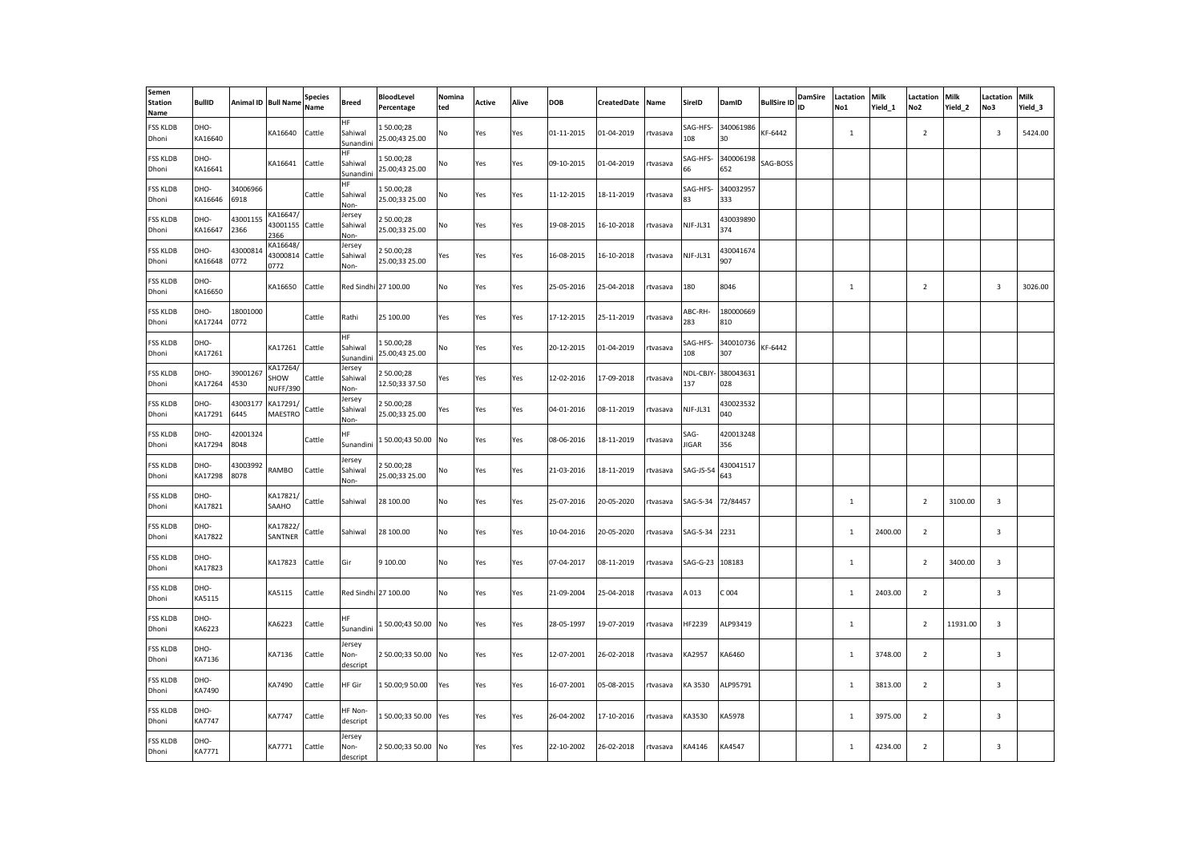| Semen<br><b>Station</b><br>Name | <b>BullID</b>         |                  | Animal ID Bull Name                 | <b>Species</b><br>Name | <b>Breed</b>               | BloodLevel<br>Percentage    | Nomina<br>ted | Active | Alive | DOB        | CreatedDate | Name     | SireID               | DamID            | <b>BullSire ID</b> | DamSire<br>ID | Lactation<br>No1 | Milk<br>Yield_1 | Lactation<br>No <sub>2</sub> | Milk<br>Yield_2 | .actation<br>No3        | Milk<br>Yield 3 |
|---------------------------------|-----------------------|------------------|-------------------------------------|------------------------|----------------------------|-----------------------------|---------------|--------|-------|------------|-------------|----------|----------------------|------------------|--------------------|---------------|------------------|-----------------|------------------------------|-----------------|-------------------------|-----------------|
| <b>FSS KLDB</b><br>Dhoni        | DHO-<br>KA16640       |                  | KA16640                             | Cattle                 | ΗF<br>Sahiwal<br>Sunandini | 150.00:28<br>25.00;43 25.00 | No            | Yes    | Yes   | 01-11-2015 | 01-04-2019  | rtvasava | SAG-HFS-<br>108      | 340061986<br>30  | KF-6442            |               | $\mathbf 1$      |                 | $\overline{2}$               |                 | $\overline{\mathbf{3}}$ | 5424.00         |
| <b>FSS KLDB</b><br>Dhoni        | DHO-<br>KA16641       |                  | KA16641                             | Cattle                 | ΗF<br>Sahiwal<br>Sunandini | 50.00;28<br>25.00;43 25.00  | No            | Yes    | Yes   | 09-10-2015 | 01-04-2019  | rtvasava | SAG-HFS-<br>66       | 340006198<br>652 | SAG-BOSS           |               |                  |                 |                              |                 |                         |                 |
| <b>FSS KLDB</b><br>Dhoni        | DHO-<br>KA16646       | 34006966<br>6918 |                                     | Cattle                 | HF.<br>Sahiwal<br>Non-     | 150.00;28<br>25.00;33 25.00 | No            | Yes    | Yes   | 11-12-2015 | 18-11-2019  | rtvasava | SAG-HFS-<br>33       | 340032957<br>333 |                    |               |                  |                 |                              |                 |                         |                 |
| <b>FSS KLDB</b><br>Dhoni        | DHO-<br>KA16647       | 4300115<br>2366  | KA16647/<br>43001155<br>2366        | Cattle                 | Jersey<br>Sahiwal<br>Non-  | 50.00;28<br>25.00;33 25.00  | No            | Yes    | Yes   | 19-08-2015 | 16-10-2018  | rtvasava | NJF-JL31             | 130039890<br>374 |                    |               |                  |                 |                              |                 |                         |                 |
| <b>FSS KLDB</b><br>Dhoni        | DHO-<br>KA16648       | 4300081<br>0772  | KA16648/<br>13000814<br>0772        | Cattle                 | Jersey<br>Sahiwal<br>Non-  | 250.00;28<br>25.00;33 25.00 | Yes           | Yes    | Yes   | 16-08-2015 | 16-10-2018  | rtvasava | NJF-JL31             | 430041674<br>907 |                    |               |                  |                 |                              |                 |                         |                 |
| <b>FSS KLDB</b><br>Dhoni        | DHO-<br>KA16650       |                  | KA16650                             | Cattle                 |                            | Red Sindhi 27 100.00        | No            | Yes    | Yes   | 25-05-2016 | 25-04-2018  | rtvasava | 180                  | 8046             |                    |               | <sup>1</sup>     |                 | $\overline{2}$               |                 | $\overline{\mathbf{3}}$ | 3026.00         |
| <b>FSS KLDB</b><br>Dhoni        | DHO-<br>KA17244       | 18001000<br>0772 |                                     | Cattle                 | Rathi                      | 25 100.00                   | Yes           | Yes    | Yes   | 17-12-2015 | 25-11-2019  | rtvasava | ABC-RH-<br>283       | 180000669<br>810 |                    |               |                  |                 |                              |                 |                         |                 |
| <b>FSS KLDB</b><br>Dhoni        | DHO-<br>KA17261       |                  | KA17261                             | Cattle                 | HF<br>Sahiwal<br>Sunandin  | 150.00;28<br>25.00;43 25.00 | No            | Yes    | Yes   | 20-12-2015 | 01-04-2019  | rtvasava | SAG-HFS-<br>108      | 340010736<br>307 | KF-6442            |               |                  |                 |                              |                 |                         |                 |
| <b>FSS KLDB</b><br>Dhoni        | DHO-<br>KA17264       | 39001267<br>4530 | KA17264/<br>SHOW<br><b>NUFF/390</b> | Cattle                 | Jersey<br>Sahiwal<br>Non-  | 250.00;28<br>12.50;33 37.50 | Yes           | Yes    | Yes   | 12-02-2016 | 17-09-2018  | rtvasava | NDL-CBJY-<br>137     | 380043631<br>028 |                    |               |                  |                 |                              |                 |                         |                 |
| <b>FSS KLDB</b><br>Dhoni        | DHO-<br>KA17291       | 43003177<br>6445 | KA17291/<br>MAESTRO                 | Cattle                 | Jersey<br>Sahiwal<br>Non-  | 250.00;28<br>25.00;33 25.00 | Yes           | Yes    | Yes   | 04-01-2016 | 08-11-2019  | rtvasava | NJF-JL31             | 430023532<br>040 |                    |               |                  |                 |                              |                 |                         |                 |
| <b>FSS KLDB</b><br>Dhoni        | DHO-<br>KA17294       | 42001324<br>8048 |                                     | Cattle                 | ΗF<br>Sunandini            | 150.00;4350.00              | No            | Yes    | Yes   | 08-06-2016 | 18-11-2019  | tvasava  | SAG-<br><b>IIGAR</b> | 420013248<br>356 |                    |               |                  |                 |                              |                 |                         |                 |
| <b>FSS KLDB</b><br>Dhoni        | DHO-<br>KA17298       | 43003992<br>8078 | RAMBO                               | Cattle                 | Jersey<br>Sahiwal<br>Non-  | 250.00;28<br>25.00;33 25.00 | No            | Yes    | Yes   | 21-03-2016 | 18-11-2019  | rtvasava | SAG-JS-54            | 430041517<br>643 |                    |               |                  |                 |                              |                 |                         |                 |
| <b>FSS KLDB</b><br>Dhoni        | DHO-<br>KA17821       |                  | KA17821/<br>SAAHO                   | Cattle                 | Sahiwal                    | 28 100.00                   | No            | Yes    | Yes   | 25-07-2016 | 20-05-2020  | rtvasava | SAG-S-34             | 72/84457         |                    |               | $\overline{1}$   |                 | $\overline{2}$               | 3100.00         | $\overline{\mathbf{3}}$ |                 |
| <b>FSS KLDB</b><br>Dhoni        | DHO-<br>KA17822       |                  | KA17822/<br>SANTNER                 | Cattle                 | Sahiwal                    | 28 100.00                   | No            | Yes    | Yes   | 10-04-2016 | 20-05-2020  | rtvasava | SAG-S-34             | 2231             |                    |               | 1                | 2400.00         | $\overline{2}$               |                 | $\overline{3}$          |                 |
| <b>FSS KLDB</b><br>Dhoni        | DHO-<br>KA17823       |                  | KA17823                             | Cattle                 | Gir                        | 9 100.00                    | No            | Yes    | Yes   | 07-04-2017 | 08-11-2019  | rtvasava | SAG-G-23 108183      |                  |                    |               | $\mathbf{1}$     |                 | $\overline{2}$               | 3400.00         | $\overline{3}$          |                 |
| <b>FSS KLDB</b><br>Dhoni        | DHO-<br>KA5115        |                  | KA5115                              | Cattle                 |                            | Red Sindhi 27 100.00        | No            | Yes    | Yes   | 21-09-2004 | 25-04-2018  | tvasava  | A 013                | C 004            |                    |               | $\mathbf 1$      | 2403.00         | $\overline{2}$               |                 | 3                       |                 |
| <b>FSS KLDB</b><br>Dhoni        | DHO-<br>KA6223        |                  | KA6223                              | Cattle                 | НF<br>Sunandini            | 150.00;4350.00              | No            | Yes    | Yes   | 28-05-1997 | 19-07-2019  | rtvasava | HF2239               | ALP93419         |                    |               | $\mathbf{1}$     |                 | $\overline{2}$               | 11931.00        | 3                       |                 |
| <b>FSS KLDB</b><br>Dhoni        | DHO-<br>KA7136        |                  | KA7136                              | Cattle                 | Jersey<br>Non-<br>descript | 2 50.00;33 50.00            | No            | Yes    | Yes   | 12-07-2001 | 26-02-2018  | tvasava  | KA2957               | KA6460           |                    |               | $\mathbf 1$      | 3748.00         | $\overline{2}$               |                 | 3                       |                 |
| <b>FSS KLDB</b><br>Dhoni        | DHO-<br>KA7490        |                  | KA7490                              | Cattle                 | HF Gir                     | 150.00;950.00               | Yes           | Yes    | Yes   | 16-07-2001 | 05-08-2015  | rtvasava | KA 3530              | ALP95791         |                    |               | $\mathbf{1}$     | 3813.00         | $\overline{2}$               |                 | $\overline{3}$          |                 |
| <b>FSS KLDB</b><br>Dhoni        | DHO-<br><b>KA7747</b> |                  | <b>KA7747</b>                       | Cattle                 | <b>HF Non-</b><br>descript | 150.00;3350.00 Yes          |               | Yes    | Yes   | 26-04-2002 | 17-10-2016  | rtvasava | KA3530               | KA5978           |                    |               | $\mathbf{1}$     | 3975.00         | $\overline{2}$               |                 | $\overline{\mathbf{3}}$ |                 |
| <b>FSS KLDB</b><br>Dhoni        | DHO-<br>KA7771        |                  | KA7771                              | Cattle                 | Jersey<br>Non-<br>descript | 250.00;3350.00 No           |               | Yes    | Yes   | 22-10-2002 | 26-02-2018  | rtvasava | KA4146               | KA4547           |                    |               | $\mathbf{1}$     | 4234.00         | $\overline{2}$               |                 | 3                       |                 |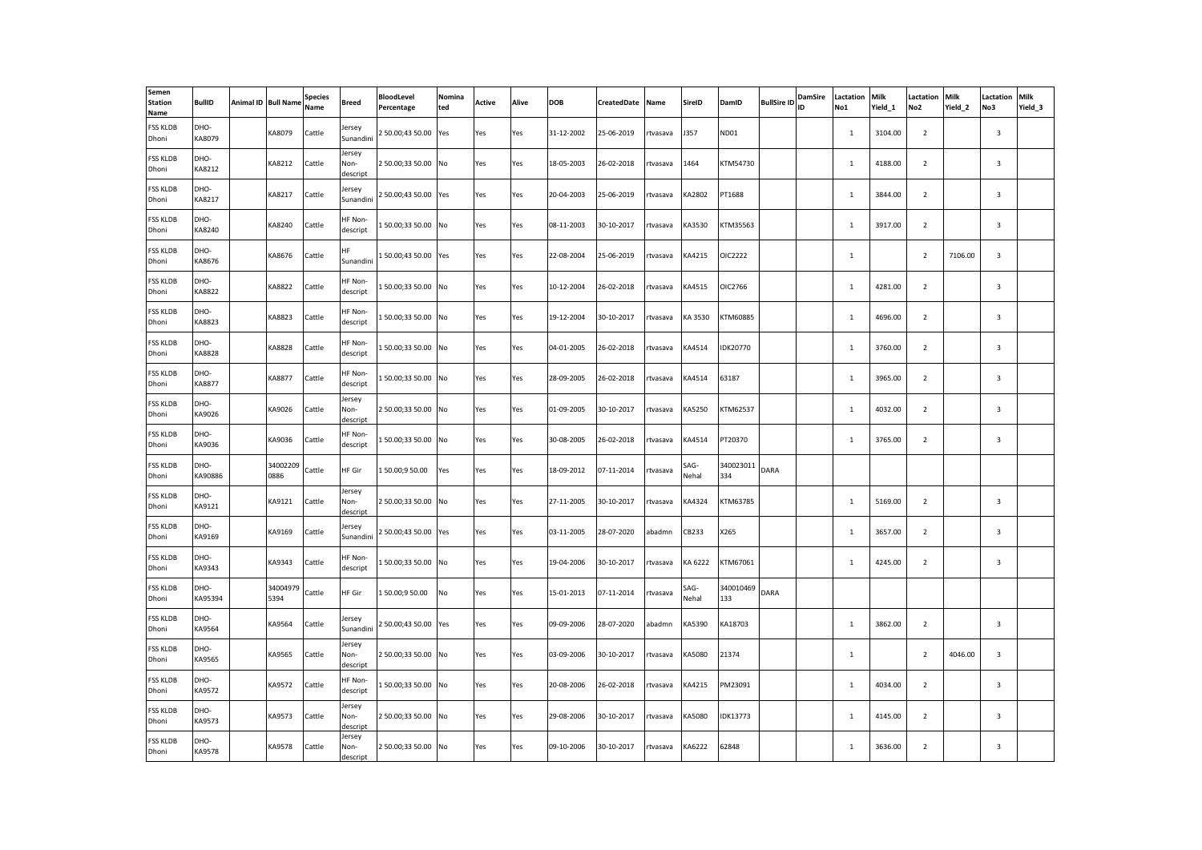| Semen<br><b>Station</b><br>Name | <b>BullID</b>         | Animal ID Bull Name | <b>Species</b><br>Name | Breed                      | <b>BloodLevel</b><br>Percentage | Nomina<br>ted | Active | Alive | <b>DOB</b> | CreatedDate | Name     | SireID        | DamID            | <b>BullSire ID</b> | DamSire<br>ID | Lactation<br>No1 | <b>Milk</b><br>Yield 1 | Lactation<br>No <sub>2</sub> | Milk<br>Yield 2 | Lactation<br>No3        | Milk<br>Yield 3 |
|---------------------------------|-----------------------|---------------------|------------------------|----------------------------|---------------------------------|---------------|--------|-------|------------|-------------|----------|---------------|------------------|--------------------|---------------|------------------|------------------------|------------------------------|-----------------|-------------------------|-----------------|
| <b>FSS KLDB</b><br>Dhoni        | DHO-<br>KA8079        | KA8079              | Cattle                 | Jersey<br>Sunandini        | 2 50.00;43 50.00                | Yes           | Yes    | Yes   | 31-12-2002 | 25-06-2019  | rtvasava | <b>J357</b>   | ND01             |                    |               | $\mathbf{1}$     | 3104.00                | $\overline{2}$               |                 | 3                       |                 |
| <b>FSS KLDB</b><br>Dhoni        | DHO-<br>KA8212        | KA8212              | Cattle                 | Jersey<br>Non-<br>descript | 2 50.00;33 50.00 No             |               | Yes    | Yes   | 18-05-2003 | 26-02-2018  | tvasava  | 1464          | KTM54730         |                    |               | $\mathbf 1$      | 4188.00                | $\overline{2}$               |                 | 3                       |                 |
| <b>FSS KLDB</b><br>Dhoni        | DHO-<br>KA8217        | KA8217              | Cattle                 | Jersey<br>Sunandini        | 2 50.00;43 50.00 Yes            |               | Yes    | Yes   | 20-04-2003 | 25-06-2019  | rtvasava | KA2802        | PT1688           |                    |               | $\mathbf{1}$     | 3844.00                | $\overline{2}$               |                 | 3                       |                 |
| <b>FSS KLDB</b><br>Dhoni        | DHO-<br>KA8240        | KA8240              | Cattle                 | HF Non-<br>descript        | 150.00;3350.00 No               |               | Yes    | Yes   | 08-11-2003 | 30-10-2017  | rtvasava | KA3530        | KTM35563         |                    |               | $\mathbf{1}$     | 3917.00                | $\overline{2}$               |                 | 3                       |                 |
| <b>FSS KLDB</b><br>Dhoni        | DHO-<br>KA8676        | KA8676              | Cattle                 | HF.<br>Sunandini           | 150.00;4350.00 Yes              |               | Yes    | Yes   | 22-08-2004 | 25-06-2019  | rtvasava | KA4215        | OIC2222          |                    |               | $\mathbf{1}$     |                        | $\overline{2}$               | 7106.00         | 3                       |                 |
| <b>FSS KLDB</b><br>Dhoni        | DHO-<br>KA8822        | KA8822              | Cattle                 | HF Non-<br>descript        | 150.00;3350.00 No               |               | Yes    | Yes   | 10-12-2004 | 26-02-2018  | rtvasava | KA4515        | OIC2766          |                    |               | $\mathbf 1$      | 4281.00                | $\overline{2}$               |                 | $\overline{3}$          |                 |
| <b>FSS KLDB</b><br>Dhoni        | DHO-<br>KA8823        | KA8823              | Cattle                 | HF Non-<br>descript        | 150.00;3350.00 No               |               | Yes    | Yes   | 19-12-2004 | 30-10-2017  | rtvasava | KA 3530       | KTM60885         |                    |               | 1                | 4696.00                | $\overline{2}$               |                 | $\overline{3}$          |                 |
| <b>FSS KLDB</b><br>Dhoni        | DHO-<br>KA8828        | KA8828              | Cattle                 | HF Non-<br>descript        | 150.00;3350.00 No               |               | Yes    | Yes   | 04-01-2005 | 26-02-2018  | rtvasava | KA4514        | IDK20770         |                    |               | $\mathbf{1}$     | 3760.00                | $\overline{2}$               |                 | 3                       |                 |
| <b>FSS KLDB</b><br>Dhoni        | DHO-<br><b>KA8877</b> | <b>KA8877</b>       | Cattle                 | HF Non-<br>descript        | 150.00;3350.00 No               |               | Yes    | Yes   | 28-09-2005 | 26-02-2018  | rtvasava | KA4514        | 63187            |                    |               | 1                | 3965.00                | $\overline{2}$               |                 | 3                       |                 |
| <b>FSS KLDB</b><br>Dhoni        | DHO-<br>KA9026        | KA9026              | Cattle                 | Jersey<br>Non-<br>descript | 2 50.00;33 50.00 No             |               | Yes    | Yes   | 01-09-2005 | 30-10-2017  | rtvasava | KA5250        | KTM62537         |                    |               | $\mathbf{1}$     | 4032.00                | $\overline{2}$               |                 | 3                       |                 |
| <b>FSS KLDB</b><br>Dhoni        | DHO-<br>KA9036        | KA9036              | Cattle                 | HF Non-<br>descript        | 150.00;3350.00 No               |               | Yes    | Yes   | 30-08-2005 | 26-02-2018  | rtvasava | KA4514        | PT20370          |                    |               | $\mathbf{1}$     | 3765.00                | $\overline{2}$               |                 | 3                       |                 |
| <b>FSS KLDB</b><br>Dhoni        | DHO-<br>KA90886       | 34002209<br>0886    | Cattle                 | HF Gir                     | 150.00:950.00                   | Yes           | Yes    | Yes   | 18-09-2012 | 07-11-2014  | rtvasava | SAG-<br>Nehal | 340023011<br>334 | DARA               |               |                  |                        |                              |                 |                         |                 |
| <b>FSS KLDB</b><br>Dhoni        | DHO-<br>KA9121        | KA9121              | Cattle                 | Jersey<br>Non-<br>descript | 2 50.00;33 50.00 No             |               | Yes    | Yes   | 27-11-2005 | 30-10-2017  | rtvasava | KA4324        | KTM63785         |                    |               | $\mathbf{1}$     | 5169.00                | $\overline{2}$               |                 | $\overline{\mathbf{3}}$ |                 |
| <b>FSS KLDB</b><br>Dhoni        | DHO-<br>KA9169        | KA9169              | Cattle                 | lersey<br>Sunandini        | 2 50.00;43 50.00                | Yes           | Yes    | Yes   | 03-11-2005 | 28-07-2020  | abadmn   | CB233         | X265             |                    |               | $\mathbf{1}$     | 3657.00                | $\overline{2}$               |                 | 3                       |                 |
| <b>FSS KLDB</b><br>Dhoni        | DHO-<br>KA9343        | KA9343              | Cattle                 | HF Non-<br>descript        | 150.00;3350.00 No               |               | Yes    | Yes   | 19-04-2006 | 30-10-2017  | rtvasava | KA 6222       | KTM67061         |                    |               | <sup>1</sup>     | 4245.00                | $\overline{2}$               |                 | $\overline{3}$          |                 |
| <b>FSS KLDB</b><br>Dhoni        | DHO-<br>KA95394       | 34004979<br>5394    | Cattle                 | HF Gir                     | 150.00;950.00                   | No            | Yes    | Yes   | 15-01-2013 | 07-11-2014  | tvasava  | SAG-<br>Nehal | 340010469<br>133 | DARA               |               |                  |                        |                              |                 |                         |                 |
| <b>FSS KLDB</b><br>Dhoni        | DHO-<br>KA9564        | KA9564              | Cattle                 | lersey<br>Sunandini        | 2 50.00;43 50.00 Yes            |               | Yes    | Yes   | 09-09-2006 | 28-07-2020  | abadmn   | KA5390        | KA18703          |                    |               | $\mathbf{1}$     | 3862.00                | $\overline{2}$               |                 | 3                       |                 |
| <b>FSS KLDB</b><br>Dhoni        | DHO-<br>KA9565        | KA9565              | Cattle                 | Jersey<br>Non-<br>descript | 2 50.00;33 50.00 No             |               | Yes    | Yes   | 03-09-2006 | 30-10-2017  | tvasava  | KA5080        | 21374            |                    |               | $\mathbf 1$      |                        | $\overline{2}$               | 4046.00         | 3                       |                 |
| <b>FSS KLDB</b><br>Dhoni        | DHO-<br>KA9572        | KA9572              | Cattle                 | HF Non-<br>descript        | 150.00;3350.00 No               |               | Yes    | Yes   | 20-08-2006 | 26-02-2018  | rtvasava | KA4215        | PM23091          |                    |               | $\mathbf{1}$     | 4034.00                | $\overline{2}$               |                 | 3                       |                 |
| <b>FSS KLDB</b><br>Dhoni        | DHO-<br>KA9573        | KA9573              | Cattle                 | Jersey<br>Non-<br>descript | 250.00;3350.00 No               |               | Yes    | Yes   | 29-08-2006 | 30-10-2017  | rtvasava | KA5080        | <b>IDK13773</b>  |                    |               | $\mathbf 1$      | 4145.00                | $\overline{2}$               |                 | $\overline{3}$          |                 |
| <b>FSS KLDB</b><br>Dhoni        | DHO-<br>KA9578        | KA9578              | Cattle                 | Jersey<br>Non-<br>descript | 250.00;3350.00 No               |               | Yes    | Yes   | 09-10-2006 | 30-10-2017  | rtvasava | KA6222        | 62848            |                    |               | 1                | 3636.00                | $\overline{2}$               |                 | $\overline{3}$          |                 |